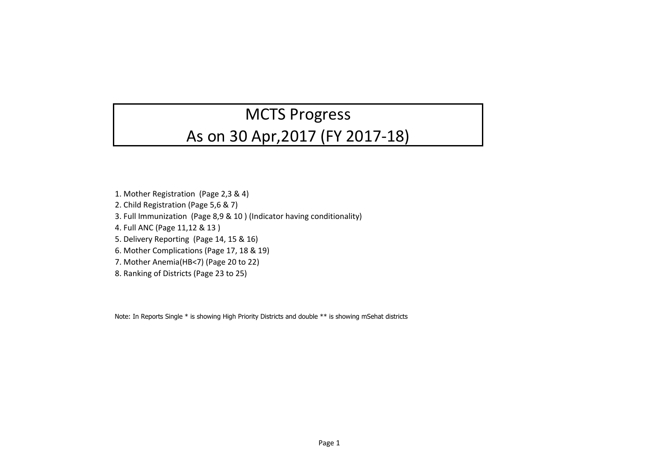# MCTS Progress

## As on 30 Apr,2017 (FY 2017-18)

1. Mother Registration (Page 2,3 & 4)

2. Child Registration (Page 5,6 & 7)

3. Full Immunization (Page 8,9 & 10 ) (Indicator having conditionality)

4. Full ANC (Page 11,12 & 13 )

5. Delivery Reporting (Page 14, 15 & 16)

6. Mother Complications (Page 17, 18 & 19)

7. Mother Anemia(HB<7) (Page 20 to 22)

8. Ranking of Districts (Page 23 to 25)

Note: In Reports Single \* is showing High Priority Districts and double \*\* is showing mSehat districts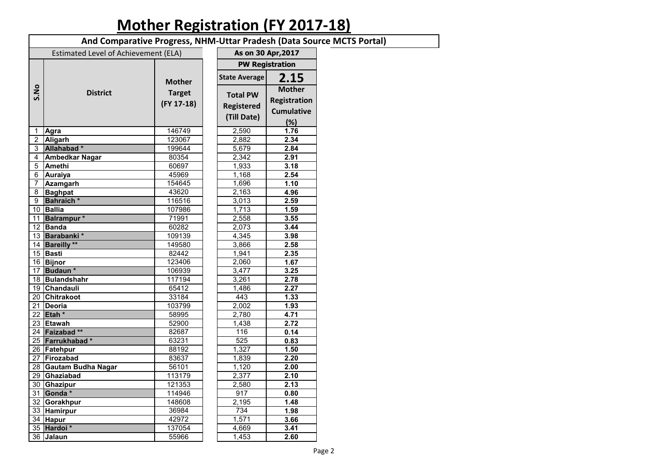# **Mother Registration (FY 2017-18)**

|                | And Comparative Progress, NHM-Uttar Pradesh (Data Source MCTS Portal) |                |  |                      |                        |  |
|----------------|-----------------------------------------------------------------------|----------------|--|----------------------|------------------------|--|
|                | <b>Estimated Level of Achievement (ELA)</b>                           |                |  | As on 30 Apr, 2017   |                        |  |
|                |                                                                       |                |  |                      | <b>PW Registration</b> |  |
|                |                                                                       | <b>Mother</b>  |  | <b>State Average</b> | 2.15                   |  |
| S.No           | <b>District</b>                                                       | <b>Target</b>  |  | <b>Total PW</b>      | <b>Mother</b>          |  |
|                |                                                                       | (FY 17-18)     |  |                      | <b>Registration</b>    |  |
|                |                                                                       |                |  | <b>Registered</b>    | <b>Cumulative</b>      |  |
|                |                                                                       |                |  | (Till Date)          | (%)                    |  |
| 1              | Agra                                                                  | 146749         |  | 2,590                | 1.76                   |  |
| $\overline{2}$ | Aligarh                                                               | 123067         |  | 2,882                | 2.34                   |  |
| 3              | Allahabad*                                                            | 199644         |  | 5,679                | 2.84                   |  |
| 4              | <b>Ambedkar Nagar</b>                                                 | 80354          |  | 2,342                | 2.91                   |  |
| 5              | Amethi                                                                | 60697          |  | 1,933                | 3.18                   |  |
| 6              | <b>Auraiya</b>                                                        | 45969          |  | 1,168                | 2.54                   |  |
| 7              | Azamgarh                                                              | 154645         |  | 1,696                | 1.10                   |  |
| 8              | <b>Baghpat</b>                                                        | 43620          |  | 2,163                | 4.96                   |  |
| 9              | <b>Bahraich</b> *                                                     | 116516         |  | 3,013                | 2.59                   |  |
|                | 10 Ballia                                                             | 107986         |  | 1,713                | 1.59                   |  |
|                | 11 Balrampur *                                                        | 71991          |  | 2,558                | 3.55                   |  |
|                | 12 Banda                                                              | 60282          |  | 2,073                | 3.44                   |  |
|                | 13 Barabanki *                                                        | 109139         |  | 4,345                | 3.98                   |  |
|                | 14 Bareilly **                                                        | 149580         |  | 3,866                | 2.58                   |  |
|                | $\overline{15}$ Basti                                                 | 82442          |  | 1,941                | 2.35                   |  |
|                | 16 Bijnor                                                             | 123406         |  | 2,060                | 1.67                   |  |
|                | 17 Budaun *                                                           | 106939         |  | 3,477                | 3.25                   |  |
|                | 18 Bulandshahr                                                        | 117194         |  | 3,261                | 2.78                   |  |
|                | 19 Chandauli                                                          | 65412          |  | 1,486                | 2.27                   |  |
|                | 20 Chitrakoot                                                         | 33184          |  | 443                  | 1.33                   |  |
| 21             | Deoria                                                                | 103799         |  | 2,002                | 1.93                   |  |
|                | 22 Etah *                                                             | 58995          |  | 2,780                | 4.71                   |  |
|                | 23 Etawah                                                             | 52900          |  | 1,438                | 2.72                   |  |
|                | 24 Faizabad **                                                        | 82687          |  | 116                  | 0.14                   |  |
|                | 25 Farrukhabad*                                                       | 63231          |  | 525                  | 0.83                   |  |
|                | 26 Fatehpur                                                           | 88192          |  | 1,327                | 1.50                   |  |
|                | 27 Firozabad                                                          | 83637          |  | 1,839                | 2.20                   |  |
|                | 28 Gautam Budha Nagar                                                 | 56101          |  | 1,120                | 2.00                   |  |
|                | 29 Ghaziabad                                                          | 113179         |  | 2,377                | 2.10                   |  |
|                | 30 Ghazipur                                                           | 121353         |  | 2,580                | 2.13                   |  |
|                | 31 Gonda *                                                            | 114946         |  | 917                  | 0.80                   |  |
|                | 32 Gorakhpur                                                          | 148608         |  | 2,195                | 1.48                   |  |
|                | 33 Hamirpur                                                           | 36984<br>42972 |  | 734                  | 1.98                   |  |
|                | 34 Hapur<br>35 Hardoi *                                               | 137054         |  | 1,571<br>4,669       | 3.66<br>3.41           |  |
|                |                                                                       |                |  |                      |                        |  |
|                | 36 Jalaun                                                             | 55966          |  | 1,453                | 2.60                   |  |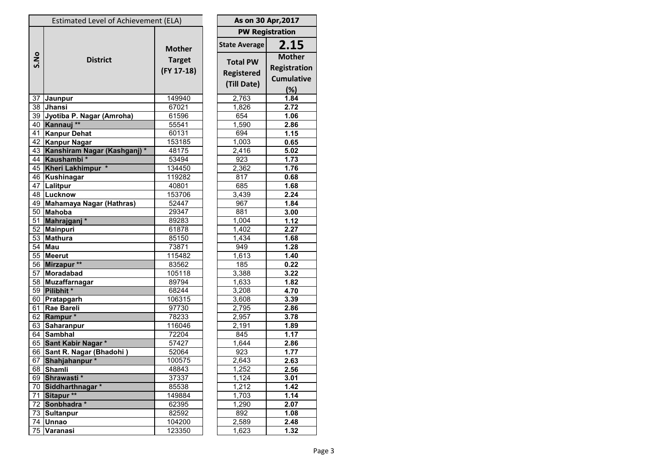| <b>Estimated Level of Achievement (ELA)</b> |                              |                             | As on 30 Apr, 2017                                  |                                                                  |  |  |
|---------------------------------------------|------------------------------|-----------------------------|-----------------------------------------------------|------------------------------------------------------------------|--|--|
|                                             |                              |                             |                                                     | <b>PW Registration</b>                                           |  |  |
|                                             |                              | <b>Mother</b>               | <b>State Average</b>                                | 2.15                                                             |  |  |
| S.No                                        | <b>District</b>              | <b>Target</b><br>(FY 17-18) | <b>Total PW</b><br><b>Registered</b><br>(Till Date) | <b>Mother</b><br><b>Registration</b><br><b>Cumulative</b><br>(%) |  |  |
| 37                                          | Jaunpur                      | 149940                      | 2,763                                               | 1.84                                                             |  |  |
| 38                                          | Jhansi                       | 67021                       | 1,826                                               | 2.72                                                             |  |  |
| 39                                          | Jyotiba P. Nagar (Amroha)    | 61596                       | 654                                                 | 1.06                                                             |  |  |
| 40                                          | Kannauj **                   | 55541                       | 1,590                                               | 2.86                                                             |  |  |
| 41                                          | <b>Kanpur Dehat</b>          | 60131                       | 694                                                 | 1.15                                                             |  |  |
| 42                                          | <b>Kanpur Nagar</b>          | 153185                      | 1,003                                               | 0.65                                                             |  |  |
| 43                                          | Kanshiram Nagar (Kashganj) * | 48175                       | 2,416                                               | 5.02                                                             |  |  |
| 44                                          | Kaushambi*                   | 53494                       | 923                                                 | 1.73                                                             |  |  |
| 45                                          | Kheri Lakhimpur *            | 134450                      | 2,362                                               | 1.76                                                             |  |  |
| 46                                          | <b>Kushinagar</b>            | 119282                      | 817                                                 | 0.68                                                             |  |  |
| 47                                          | Lalitpur                     | 40801                       | 685                                                 | 1.68                                                             |  |  |
| 48                                          | Lucknow                      | 153706                      | 3,439                                               | 2.24                                                             |  |  |
| 49                                          | Mahamaya Nagar (Hathras)     | 52447                       | 967                                                 | 1.84                                                             |  |  |
| 50                                          | Mahoba                       | 29347                       | 881                                                 | 3.00                                                             |  |  |
| 51                                          | Mahrajganj*                  | 89283                       | 1,004                                               | 1.12                                                             |  |  |
| 52                                          | Mainpuri                     | 61878                       | 1,402                                               | 2.27                                                             |  |  |
| 53                                          | <b>Mathura</b>               | 85150                       | 1,434                                               | 1.68                                                             |  |  |
| 54                                          | Mau                          | 73871                       | 949                                                 | 1.28                                                             |  |  |
| 55                                          | Meerut                       | 115482                      | 1,613                                               | 1.40                                                             |  |  |
| 56                                          | Mirzapur **                  | 83562                       | 185                                                 | 0.22                                                             |  |  |
| 57                                          | Moradabad                    | 105118                      | 3,388                                               | 3.22                                                             |  |  |
| 58                                          | <b>Muzaffarnagar</b>         | 89794                       | 1,633                                               | 1.82                                                             |  |  |
| 59                                          | Pilibhit *                   | 68244                       | 3,208                                               | 4.70                                                             |  |  |
| 60                                          | Pratapgarh                   | 106315                      | 3,608                                               | 3.39                                                             |  |  |
| 61                                          | <b>Rae Bareli</b>            | 97730                       | 2,795                                               | 2.86                                                             |  |  |
| 62                                          | Rampur*                      | 78233                       | 2,957                                               | 3.78                                                             |  |  |
| 63                                          | Saharanpur                   | 116046                      | 2,191                                               | 1.89                                                             |  |  |
|                                             | 64 Sambhal                   | 72204                       | 845                                                 | 1.17                                                             |  |  |
|                                             | 65 Sant Kabir Nagar*         | 57427                       | 1,644                                               | 2.86                                                             |  |  |
|                                             | 66   Sant R. Nagar (Bhadohi) | 52064                       | 923                                                 | 1.77                                                             |  |  |
| 67                                          | Shahjahanpur*                | 100575                      | 2,643                                               | 2.63                                                             |  |  |
| 68                                          | <b>Shamli</b>                | 48843                       | 1,252                                               | 2.56                                                             |  |  |
| 69                                          | Shrawasti*                   | 37337                       | 1,124                                               | 3.01                                                             |  |  |
| 70                                          | Siddharthnagar *             | 85538                       | 1,212                                               | 1.42                                                             |  |  |
| 71                                          | Sitapur **                   | 149884                      | 1,703                                               | 1.14                                                             |  |  |
| 72                                          | Sonbhadra *                  | 62395                       | 1,290                                               | 2.07                                                             |  |  |
| 73                                          | <b>Sultanpur</b>             | 82592                       | 892                                                 | 1.08                                                             |  |  |
| 74                                          | <b>Unnao</b>                 | 104200                      | 2,589                                               | 2.48                                                             |  |  |
| 75                                          | Varanasi                     | 123350                      | 1,623                                               | 1.32                                                             |  |  |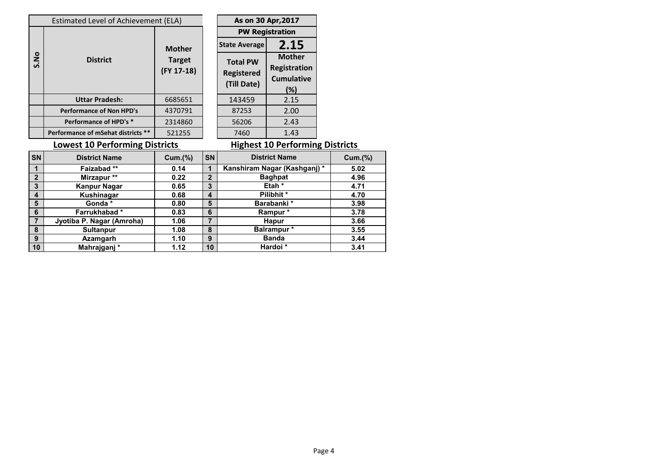|      | Estimated Level of Achievement (ELA) | As on 30 Apr, 2017          |  |                                                     |                                                         |
|------|--------------------------------------|-----------------------------|--|-----------------------------------------------------|---------------------------------------------------------|
|      |                                      |                             |  |                                                     | <b>PW Registration</b>                                  |
|      |                                      | <b>Mother</b>               |  | <b>State Average</b>                                | 2.15                                                    |
| S.No | <b>District</b>                      | <b>Target</b><br>(FY 17-18) |  | <b>Total PW</b><br><b>Registered</b><br>(Till Date) | <b>Mother</b><br>Registratio<br><b>Cumulativ</b><br>(%) |
|      | <b>Uttar Pradesh:</b>                | 6685651                     |  | 143459                                              | 2.15                                                    |
|      | <b>Performance of Non HPD's</b>      | 4370791                     |  | 87253                                               | 2.00                                                    |
|      | Performance of HPD's *               | 2314860                     |  | 56206                                               | 2.43                                                    |
|      | Performance of mSehat districts **   | 521255                      |  | 7460                                                | 1.43                                                    |
|      | owest 10 Performing Districts        |                             |  |                                                     | Highest 10 Perforn                                      |

# *<u>tration</u>* **ulative (%)**<br>15.00<br>.43

### **Lowest 10 Performing Districts**

## **Highest 10 Performing Districts**

| <b>SN</b>   | <b>District Name</b>      | Cum.(%) | <b>SN</b>    | <b>District Name</b>        | Cum.(%) |
|-------------|---------------------------|---------|--------------|-----------------------------|---------|
|             | <b>Faizabad**</b>         | 0.14    |              | Kanshiram Nagar (Kashganj)* | 5.02    |
| $\mathbf 2$ | Mirzapur **               | 0.22    | $\mathbf{2}$ | <b>Baghpat</b>              | 4.96    |
| 3           | <b>Kanpur Nagar</b>       | 0.65    | 3            | Etah <sup>*</sup>           | 4.71    |
| 4           | Kushinagar                | 0.68    | 4            | Pilibhit*                   | 4.70    |
| 5           | Gonda*                    | 0.80    | 5            | Barabanki*                  | 3.98    |
| 6           | Farrukhabad*              | 0.83    | 6            | Rampur*                     | 3.78    |
| 7           | Jyotiba P. Nagar (Amroha) | 1.06    | 7            | <b>Hapur</b>                | 3.66    |
| 8           | <b>Sultanpur</b>          | 1.08    | 8            | <b>Balrampur</b> *          | 3.55    |
| 9           | Azamgarh                  | 1.10    | 9            | <b>Banda</b>                | 3.44    |
| 10          | Mahrajganj*               | 1.12    | 10           | Hardoi*                     | 3.41    |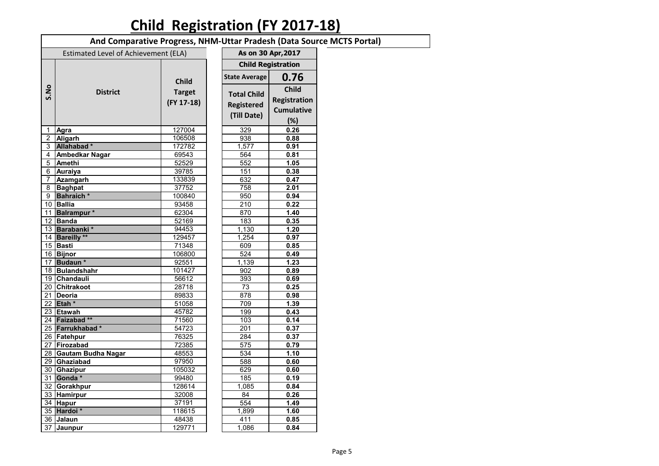## **Child Registration (FY 2017-18)**

|                | And Comparative Progress, NHM-Uttar Pradesh (Data Source MCTS Portal) |               |  |                      |                           |  |
|----------------|-----------------------------------------------------------------------|---------------|--|----------------------|---------------------------|--|
|                | Estimated Level of Achievement (ELA)                                  |               |  | As on 30 Apr, 2017   |                           |  |
|                |                                                                       |               |  |                      | <b>Child Registration</b> |  |
|                |                                                                       | <b>Child</b>  |  | <b>State Average</b> | 0.76                      |  |
| S.No           | <b>District</b>                                                       | <b>Target</b> |  | <b>Total Child</b>   | <b>Child</b>              |  |
|                |                                                                       | (FY 17-18)    |  |                      | Registration              |  |
|                |                                                                       |               |  | <b>Registered</b>    | <b>Cumulative</b>         |  |
|                |                                                                       |               |  | (Till Date)          | (%)                       |  |
| $\mathbf 1$    | Agra                                                                  | 127004        |  | 329                  | 0.26                      |  |
| $\overline{2}$ | Aligarh                                                               | 106508        |  | 938                  | 0.88                      |  |
| 3              | Allahabad <sup>*</sup>                                                | 172782        |  | 1,577                | 0.91                      |  |
| 4              | <b>Ambedkar Nagar</b>                                                 | 69543         |  | 564                  | 0.81                      |  |
| 5              | <b>Amethi</b>                                                         | 52529         |  | 552                  | 1.05                      |  |
| 6              | <b>Auraiya</b>                                                        | 39785         |  | 151                  | 0.38                      |  |
| $\overline{7}$ | Azamgarh                                                              | 133839        |  | 632                  | 0.47                      |  |
| 8              | <b>Baghpat</b>                                                        | 37752         |  | 758                  | 2.01                      |  |
| 9              | <b>Bahraich</b> *                                                     | 100840        |  | 950                  | 0.94                      |  |
| 10             | <b>Ballia</b>                                                         | 93458         |  | 210                  | 0.22                      |  |
| 11             | <b>Balrampur</b> *                                                    | 62304         |  | 870                  | 1.40                      |  |
| 12             | Banda                                                                 | 52169         |  | 183                  | 0.35                      |  |
|                | 13 Barabanki*                                                         | 94453         |  | 1,130                | 1.20                      |  |
|                | 14 Bareilly **                                                        | 129457        |  | 1,254                | 0.97                      |  |
|                | 15 Basti                                                              | 71348         |  | 609                  | 0.85                      |  |
| 16             | Bijnor                                                                | 106800        |  | 524                  | 0.49                      |  |
| 17             | Budaun <sup>*</sup>                                                   | 92551         |  | 1,139                | 1.23                      |  |
|                | 18 Bulandshahr                                                        | 101427        |  | 902                  | 0.89                      |  |
|                | 19 Chandauli                                                          | 56612         |  | 393                  | 0.69                      |  |
|                | 20 Chitrakoot                                                         | 28718         |  | 73                   | 0.25                      |  |
| 21             | Deoria                                                                | 89833         |  | 878                  | 0.98                      |  |
| 22             | Etah <sup>*</sup>                                                     | 51058         |  | 709                  | 1.39                      |  |
|                | 23 Etawah                                                             | 45782         |  | 199                  | 0.43                      |  |
|                | 24 Faizabad **                                                        | 71560         |  | 103                  | 0.14                      |  |
|                | 25 Farrukhabad*                                                       | 54723         |  | 201                  | 0.37                      |  |
|                | 26 Fatehpur                                                           | 76325         |  | 284                  | 0.37                      |  |
|                | 27 Firozabad                                                          | 72385         |  | 575                  | 0.79                      |  |
|                | 28 Gautam Budha Nagar                                                 | 48553         |  | 534                  | 1.10                      |  |
|                | 29 Ghaziabad                                                          | 97950         |  | 588                  | 0.60                      |  |
|                | 30 Ghazipur                                                           | 105032        |  | 629                  | 0.60                      |  |
|                | 31 Gonda *                                                            | 99480         |  | 185                  | 0.19                      |  |
|                | 32 Gorakhpur                                                          | 128614        |  | 1,085                | 0.84                      |  |
|                | 33 Hamirpur                                                           | 32008         |  | 84                   | 0.26                      |  |
|                | 34 Hapur                                                              | 37191         |  | 554                  | 1.49                      |  |
|                | 35 Hardoi*                                                            | 118615        |  | 1,899                | 1.60                      |  |
|                | 36 Jalaun                                                             | 48438         |  | 411                  | 0.85                      |  |
| 37             | Jaunpur                                                               | 129771        |  | 1,086                | 0.84                      |  |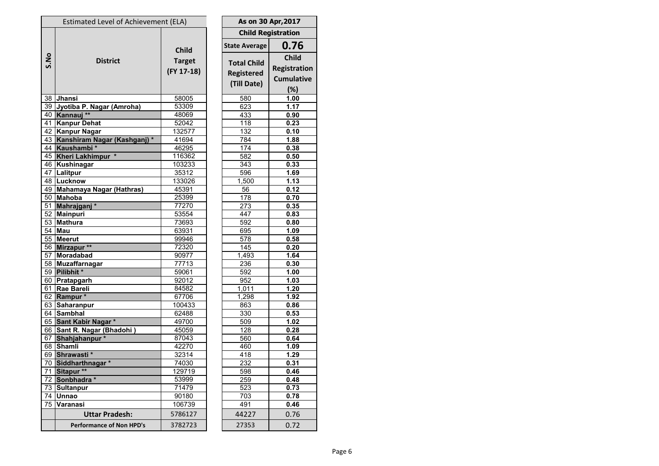|      | <b>Estimated Level of Achievement (ELA)</b> |                             | As on 30 Apr, 2017                                     |                                            |
|------|---------------------------------------------|-----------------------------|--------------------------------------------------------|--------------------------------------------|
|      |                                             |                             | <b>Child Registration</b>                              |                                            |
|      |                                             | <b>Child</b>                | <b>State Average</b>                                   | 0.76                                       |
| S.No | <b>District</b>                             | <b>Target</b><br>(FY 17-18) | <b>Total Child</b><br><b>Registered</b><br>(Till Date) | <b>Child</b><br>Registra<br>Cumulat<br>(%) |
| 38   | Jhansi                                      | 58005                       | 580                                                    | 1.00                                       |
|      | 39 Jyotiba P. Nagar (Amroha)                | 53309                       | 623                                                    | 1.17                                       |
|      | 40 Kannauj **                               | 48069                       | 433                                                    | 0.90                                       |
| 41   | <b>Kanpur Dehat</b>                         | 52042                       | 118                                                    | 0.23                                       |
|      | 42 Kanpur Nagar                             | 132577                      | 132                                                    | 0.10                                       |
|      | 43 Kanshiram Nagar (Kashganj) *             | 41694                       | 784                                                    | 1.88                                       |
|      | 44 Kaushambi*                               | 46295                       | 174                                                    | 0.38                                       |
|      | 45 Kheri Lakhimpur *                        | 116362                      | 582                                                    | 0.50                                       |
|      | 46 Kushinagar                               | 103233                      | 343                                                    | 0.33                                       |
|      | 47   Lalitpur                               | 35312                       | 596                                                    | 1.69                                       |
|      | 48 Lucknow                                  | 133026                      | 1,500                                                  | 1.13                                       |
|      | 49 Mahamaya Nagar (Hathras)                 | 45391                       | 56                                                     | 0.12                                       |
| 50   | <b>Mahoba</b>                               | 25399                       | 178                                                    | 0.70                                       |
| 51   | Mahrajganj <sup>*</sup>                     | 77270                       | 273                                                    | 0.35                                       |
| 52   | <b>Mainpuri</b>                             | 53554                       | 447                                                    | 0.83                                       |
| 53   | <b>Mathura</b>                              | 73693                       | 592                                                    | 0.80                                       |
| 54   | Mau                                         | 63931                       | 695                                                    | 1.09                                       |
| 55   | <b>Meerut</b>                               | 99946                       | 578                                                    | 0.58                                       |
| 56   | Mirzapur **                                 | 72320                       | 145                                                    | 0.20                                       |
| 57   | Moradabad                                   | 90977                       | 1,493                                                  | 1.64                                       |
|      | 58 Muzaffarnagar                            | 77713                       | 236                                                    | 0.30                                       |
|      | 59 Pilibhit *                               | 59061                       | 592                                                    | 1.00                                       |
|      | 60 Pratapgarh                               | 92012                       | 952                                                    | 1.03                                       |
| 61   | <b>Rae Bareli</b>                           | 84582                       | 1,011                                                  | 1.20                                       |
|      | 62 Rampur *                                 | 67706                       | 1,298                                                  | 1.92                                       |
| 63   | Saharanpur                                  | 100433                      | 863                                                    | 0.86                                       |
|      | 64 Sambhal                                  | 62488                       | 330                                                    | 0.53                                       |
|      | 65 Sant Kabir Nagar *                       | 49700                       | 509                                                    | 1.02                                       |
|      | 66 Sant R. Nagar (Bhadohi)                  | 45059                       | 128                                                    | 0.28                                       |
|      | 67 Shahjahanpur*                            | 87043                       | 560                                                    | 0.64                                       |
|      | 68 Shamli                                   | 42270                       | 460                                                    | 1.09                                       |
|      | 69 Shrawasti *                              | 32314                       | 418                                                    | 1.29                                       |
|      | 70 Siddharthnagar *                         | 74030                       | 232                                                    | 0.31                                       |
| 71   | Sitapur **                                  | 129719                      | 598                                                    | 0.46                                       |
| 72   | Sonbhadra *                                 | 53999                       | 259                                                    | 0.48                                       |
| 73   | <b>Sultanpur</b>                            | 71479                       | 523                                                    | 0.73                                       |
| 74   | <b>Unnao</b>                                | 90180                       | 703                                                    | 0.78                                       |
| 75   | Varanasi                                    | 106739                      | 491                                                    | 0.46                                       |
|      | <b>Uttar Pradesh:</b>                       | 5786127                     | 44227                                                  | 0.76                                       |
|      | <b>Performance of Non HPD's</b>             | 3782723                     | 27353                                                  | 0.72                                       |

| As on 30 Apr, 2017        |                     |  |  |  |  |
|---------------------------|---------------------|--|--|--|--|
| <b>Child Registration</b> |                     |  |  |  |  |
| <b>State Average</b>      | 0.76                |  |  |  |  |
|                           | <b>Child</b>        |  |  |  |  |
| <b>Total Child</b>        | <b>Registration</b> |  |  |  |  |
| <b>Registered</b>         | <b>Cumulative</b>   |  |  |  |  |
| (Till Date)               | (%)                 |  |  |  |  |
| 580                       | 1.00                |  |  |  |  |
| 623                       | 1.17                |  |  |  |  |
| 433                       | 0.90                |  |  |  |  |
| 118                       | 0.23                |  |  |  |  |
| $\overline{132}$          | 0.10                |  |  |  |  |
| <u>784</u>                | 1.88                |  |  |  |  |
| 174                       | 0.38                |  |  |  |  |
| 582                       | 0.50                |  |  |  |  |
| 343                       | 0.33                |  |  |  |  |
| 596                       | 1.69                |  |  |  |  |
| 1,500                     | 1.13                |  |  |  |  |
| 56                        | 0.12                |  |  |  |  |
| 178                       | 0.70                |  |  |  |  |
| 273                       | 0.35                |  |  |  |  |
| 447                       | 0.83                |  |  |  |  |
| 592                       | 0.80                |  |  |  |  |
| 695                       | 1.09                |  |  |  |  |
| 578                       | 0.58                |  |  |  |  |
| 145                       | 0.20                |  |  |  |  |
| 1,493                     | 1.64                |  |  |  |  |
| 236                       | 0.30                |  |  |  |  |
| 592                       | 1.00                |  |  |  |  |
| 952                       | 1.03                |  |  |  |  |
| 1,011                     | 1.20                |  |  |  |  |
| 1,298                     | 1.92                |  |  |  |  |
| 863                       | 0.86                |  |  |  |  |
| 330                       | 0.53                |  |  |  |  |
| 509                       | <u>1.02</u>         |  |  |  |  |
| 128                       | 0.28                |  |  |  |  |
| 560                       | 0.64                |  |  |  |  |
| 460                       | 1.09                |  |  |  |  |
| 418                       | 1.29                |  |  |  |  |
| 232                       | 0.31                |  |  |  |  |
| 598                       | 0.46                |  |  |  |  |
| 259                       | 0.48                |  |  |  |  |
| 523                       | 0.73                |  |  |  |  |
| 703                       | 0.78                |  |  |  |  |
| 491                       | 0.46                |  |  |  |  |
| 44227                     | 0.76                |  |  |  |  |
| 27353                     | 0.72                |  |  |  |  |

 $\overline{\phantom{0}}$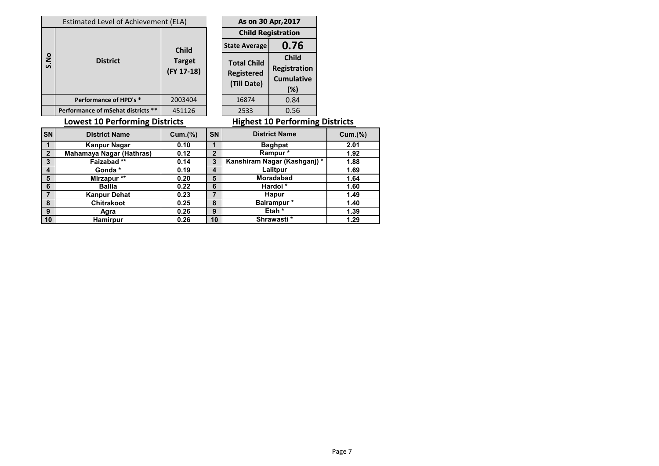|                         | Estimated Level of Achievement (ELA)  |                |              | As on 30 Apr, 2017           |                                        |                |
|-------------------------|---------------------------------------|----------------|--------------|------------------------------|----------------------------------------|----------------|
|                         |                                       |                |              | <b>Child Registration</b>    |                                        |                |
|                         |                                       | <b>Child</b>   |              | <b>State Average</b>         | 0.76                                   |                |
| S.No                    | <b>District</b>                       | <b>Target</b>  |              | <b>Total Child</b>           | <b>Child</b>                           |                |
|                         |                                       | $(FY 17-18)$   |              | <b>Registered</b>            | Registration                           |                |
|                         |                                       |                |              | (Till Date)                  | <b>Cumulative</b>                      |                |
|                         |                                       |                |              |                              | (%)                                    |                |
|                         | Performance of HPD's *                | 2003404        |              | 16874                        | 0.84                                   |                |
|                         | Performance of mSehat districts **    | 451126         |              | 2533                         | 0.56                                   |                |
|                         | <b>Lowest 10 Performing Districts</b> |                |              |                              | <b>Highest 10 Performing Districts</b> |                |
| <b>SN</b>               | <b>District Name</b>                  | <b>Cum.(%)</b> | SN           | <b>District Name</b>         |                                        | <b>Cum.(%)</b> |
| $\mathbf 1$             | <b>Kanpur Nagar</b>                   | 0.10           | 1            | <b>Baghpat</b>               |                                        | 2.01           |
| $\overline{2}$          | Mahamaya Nagar (Hathras)              | 0.12           | $\mathbf{2}$ | Rampur*                      |                                        | 1.92           |
| $\mathbf{3}$            | Faizabad **                           | 0.14           | 3            | Kanshiram Nagar (Kashganj) * |                                        | 1.88           |
| $\overline{\mathbf{4}}$ | Gonda*                                | 0.19           | 4            | Lalitpur                     |                                        | 1.69           |
| 5                       | Mirzapur **                           | 0.20           | 5            | <b>Moradabad</b>             |                                        | 1.64           |
| $6\phantom{1}$          | <b>Ballia</b>                         | 0.22           | 6            | Hardoi <sup>*</sup>          |                                        | 1.60           |
| $\overline{7}$          | <b>Kanpur Dehat</b>                   | 0.23           | 7            | <b>Hapur</b>                 |                                        | 1.49           |
| 8                       | <b>Chitrakoot</b>                     | 0.25           | 8            |                              | Balrampur*                             | 1.40           |
| 9                       | Agra                                  | 0.26           | 9            |                              | Etah <sup>*</sup>                      | 1.39           |
| 10                      | <b>Hamirpur</b>                       | 0.26           | 10           |                              | Shrawasti*                             | 1.29           |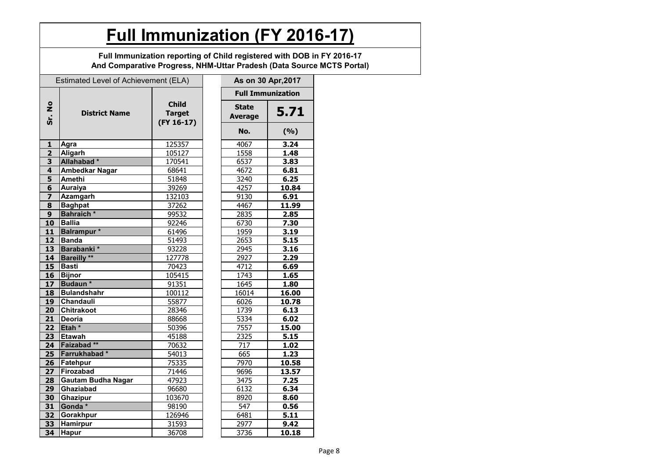# **Full Immunization (FY 2016-17)**

**Full Immunization reporting of Child registered with DOB in FY 2016-17 And Comparative Progress, NHM-Uttar Pradesh (Data Source MCTS Portal)**

| <b>Full Immunization</b><br><b>Child</b><br>$rac{1}{2}$<br><b>State</b><br>5.71<br><b>District Name</b><br><b>Target</b><br><b>Average</b><br>Sr.<br>$(FY 16-17)$<br>No.<br>(%)<br>4067<br>3.24<br>Agra<br>125357<br>1<br>$\overline{\mathbf{2}}$<br>Aligarh<br>105127<br>1558<br>1.48<br>Allahabad*<br>3<br>170541<br>6537<br>3.83<br><b>Ambedkar Nagar</b><br>4<br>68641<br>4672<br>6.81<br>5<br>Amethi<br>6.25<br>51848<br>3240<br>$\overline{\mathbf{6}}$<br>10.84<br><b>Auraiya</b><br>39269<br>4257<br>$\overline{\mathbf{z}}$<br>132103<br><b>Azamgarh</b><br>9130<br>6.91<br>$\overline{\mathbf{8}}$<br><b>Baghpat</b><br>11.99<br>37262<br>4467<br><b>Bahraich*</b><br>9<br>2.85<br>99532<br>2835<br><b>Ballia</b><br>10<br>92246<br>6730<br>7.30<br>11<br><b>Balrampur</b> *<br>1959<br>3.19<br>61496<br><b>Banda</b><br>12<br>51493<br>2653<br>5.15<br>Barabanki *<br>13<br>93228<br>2945<br>3.16<br><b>Bareilly</b> **<br>14<br>2927<br>127778<br>2.29<br>15<br><b>Basti</b><br>4712<br>70423<br>6.69<br><b>Bijnor</b><br>16<br>105415<br>1743<br>1.65<br>Budaun <sup>*</sup><br>17<br>1645<br>91351<br>1.80<br>$\overline{18}$<br><b>Bulandshahr</b><br>100112<br>16014<br>16.00<br>Chandauli |
|------------------------------------------------------------------------------------------------------------------------------------------------------------------------------------------------------------------------------------------------------------------------------------------------------------------------------------------------------------------------------------------------------------------------------------------------------------------------------------------------------------------------------------------------------------------------------------------------------------------------------------------------------------------------------------------------------------------------------------------------------------------------------------------------------------------------------------------------------------------------------------------------------------------------------------------------------------------------------------------------------------------------------------------------------------------------------------------------------------------------------------------------------------------------------------------------------------|
|                                                                                                                                                                                                                                                                                                                                                                                                                                                                                                                                                                                                                                                                                                                                                                                                                                                                                                                                                                                                                                                                                                                                                                                                            |
|                                                                                                                                                                                                                                                                                                                                                                                                                                                                                                                                                                                                                                                                                                                                                                                                                                                                                                                                                                                                                                                                                                                                                                                                            |
|                                                                                                                                                                                                                                                                                                                                                                                                                                                                                                                                                                                                                                                                                                                                                                                                                                                                                                                                                                                                                                                                                                                                                                                                            |
|                                                                                                                                                                                                                                                                                                                                                                                                                                                                                                                                                                                                                                                                                                                                                                                                                                                                                                                                                                                                                                                                                                                                                                                                            |
|                                                                                                                                                                                                                                                                                                                                                                                                                                                                                                                                                                                                                                                                                                                                                                                                                                                                                                                                                                                                                                                                                                                                                                                                            |
|                                                                                                                                                                                                                                                                                                                                                                                                                                                                                                                                                                                                                                                                                                                                                                                                                                                                                                                                                                                                                                                                                                                                                                                                            |
|                                                                                                                                                                                                                                                                                                                                                                                                                                                                                                                                                                                                                                                                                                                                                                                                                                                                                                                                                                                                                                                                                                                                                                                                            |
|                                                                                                                                                                                                                                                                                                                                                                                                                                                                                                                                                                                                                                                                                                                                                                                                                                                                                                                                                                                                                                                                                                                                                                                                            |
|                                                                                                                                                                                                                                                                                                                                                                                                                                                                                                                                                                                                                                                                                                                                                                                                                                                                                                                                                                                                                                                                                                                                                                                                            |
|                                                                                                                                                                                                                                                                                                                                                                                                                                                                                                                                                                                                                                                                                                                                                                                                                                                                                                                                                                                                                                                                                                                                                                                                            |
|                                                                                                                                                                                                                                                                                                                                                                                                                                                                                                                                                                                                                                                                                                                                                                                                                                                                                                                                                                                                                                                                                                                                                                                                            |
|                                                                                                                                                                                                                                                                                                                                                                                                                                                                                                                                                                                                                                                                                                                                                                                                                                                                                                                                                                                                                                                                                                                                                                                                            |
|                                                                                                                                                                                                                                                                                                                                                                                                                                                                                                                                                                                                                                                                                                                                                                                                                                                                                                                                                                                                                                                                                                                                                                                                            |
|                                                                                                                                                                                                                                                                                                                                                                                                                                                                                                                                                                                                                                                                                                                                                                                                                                                                                                                                                                                                                                                                                                                                                                                                            |
|                                                                                                                                                                                                                                                                                                                                                                                                                                                                                                                                                                                                                                                                                                                                                                                                                                                                                                                                                                                                                                                                                                                                                                                                            |
|                                                                                                                                                                                                                                                                                                                                                                                                                                                                                                                                                                                                                                                                                                                                                                                                                                                                                                                                                                                                                                                                                                                                                                                                            |
|                                                                                                                                                                                                                                                                                                                                                                                                                                                                                                                                                                                                                                                                                                                                                                                                                                                                                                                                                                                                                                                                                                                                                                                                            |
|                                                                                                                                                                                                                                                                                                                                                                                                                                                                                                                                                                                                                                                                                                                                                                                                                                                                                                                                                                                                                                                                                                                                                                                                            |
|                                                                                                                                                                                                                                                                                                                                                                                                                                                                                                                                                                                                                                                                                                                                                                                                                                                                                                                                                                                                                                                                                                                                                                                                            |
|                                                                                                                                                                                                                                                                                                                                                                                                                                                                                                                                                                                                                                                                                                                                                                                                                                                                                                                                                                                                                                                                                                                                                                                                            |
|                                                                                                                                                                                                                                                                                                                                                                                                                                                                                                                                                                                                                                                                                                                                                                                                                                                                                                                                                                                                                                                                                                                                                                                                            |
| 55877<br>19<br>6026<br>10.78                                                                                                                                                                                                                                                                                                                                                                                                                                                                                                                                                                                                                                                                                                                                                                                                                                                                                                                                                                                                                                                                                                                                                                               |
| <b>Chitrakoot</b><br>20<br>28346<br>1739<br>6.13                                                                                                                                                                                                                                                                                                                                                                                                                                                                                                                                                                                                                                                                                                                                                                                                                                                                                                                                                                                                                                                                                                                                                           |
| 5334<br>21<br><b>Deoria</b><br>88668<br>6.02                                                                                                                                                                                                                                                                                                                                                                                                                                                                                                                                                                                                                                                                                                                                                                                                                                                                                                                                                                                                                                                                                                                                                               |
| Etah <sup>*</sup><br>7557<br>22<br>50396<br>15.00                                                                                                                                                                                                                                                                                                                                                                                                                                                                                                                                                                                                                                                                                                                                                                                                                                                                                                                                                                                                                                                                                                                                                          |
| 23<br><b>Etawah</b><br>45188<br>2325<br>5.15                                                                                                                                                                                                                                                                                                                                                                                                                                                                                                                                                                                                                                                                                                                                                                                                                                                                                                                                                                                                                                                                                                                                                               |
| Faizabad **<br>70632<br>717<br>24<br><u>1.02</u>                                                                                                                                                                                                                                                                                                                                                                                                                                                                                                                                                                                                                                                                                                                                                                                                                                                                                                                                                                                                                                                                                                                                                           |
| Farrukhabad*<br>25<br>54013<br>665<br>1.23                                                                                                                                                                                                                                                                                                                                                                                                                                                                                                                                                                                                                                                                                                                                                                                                                                                                                                                                                                                                                                                                                                                                                                 |
| Fatehpur<br>7970<br>10.58<br>26<br>75335                                                                                                                                                                                                                                                                                                                                                                                                                                                                                                                                                                                                                                                                                                                                                                                                                                                                                                                                                                                                                                                                                                                                                                   |
| $\overline{27}$<br>Firozabad<br>71446<br>13.57<br>9696                                                                                                                                                                                                                                                                                                                                                                                                                                                                                                                                                                                                                                                                                                                                                                                                                                                                                                                                                                                                                                                                                                                                                     |
| 28<br>3475<br>7.25<br><b>Gautam Budha Nagar</b><br>47923                                                                                                                                                                                                                                                                                                                                                                                                                                                                                                                                                                                                                                                                                                                                                                                                                                                                                                                                                                                                                                                                                                                                                   |
| Ghaziabad<br>29<br>96680<br>6132<br>6.34                                                                                                                                                                                                                                                                                                                                                                                                                                                                                                                                                                                                                                                                                                                                                                                                                                                                                                                                                                                                                                                                                                                                                                   |
| 30<br>Ghazipur<br>103670<br>8920<br>8.60                                                                                                                                                                                                                                                                                                                                                                                                                                                                                                                                                                                                                                                                                                                                                                                                                                                                                                                                                                                                                                                                                                                                                                   |
| Gonda *<br>31<br>98190<br>547<br>0.56                                                                                                                                                                                                                                                                                                                                                                                                                                                                                                                                                                                                                                                                                                                                                                                                                                                                                                                                                                                                                                                                                                                                                                      |
| 32<br>Gorakhpur<br>126946<br>6481<br>5.11                                                                                                                                                                                                                                                                                                                                                                                                                                                                                                                                                                                                                                                                                                                                                                                                                                                                                                                                                                                                                                                                                                                                                                  |
| $\overline{33}$<br><b>Hamirpur</b><br>31593<br>2977<br>9.42                                                                                                                                                                                                                                                                                                                                                                                                                                                                                                                                                                                                                                                                                                                                                                                                                                                                                                                                                                                                                                                                                                                                                |
| 34<br><b>Hapur</b><br>3736<br>36708<br>10.18                                                                                                                                                                                                                                                                                                                                                                                                                                                                                                                                                                                                                                                                                                                                                                                                                                                                                                                                                                                                                                                                                                                                                               |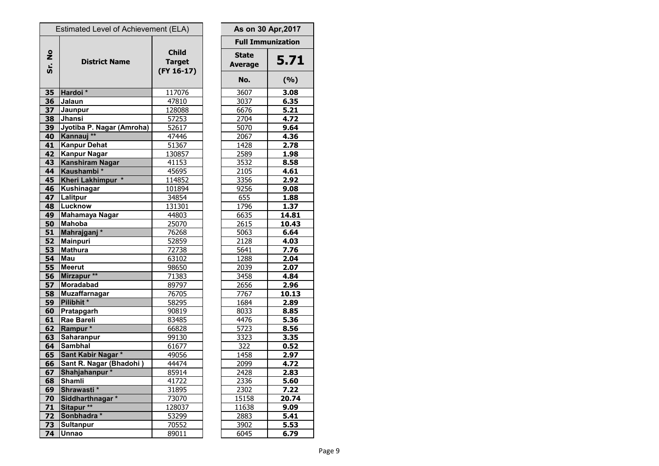|                      | Estimated Level of Achievement (ELA) |                                               |                                | As on 30 Apr, 2017       |
|----------------------|--------------------------------------|-----------------------------------------------|--------------------------------|--------------------------|
|                      |                                      |                                               |                                | <b>Full Immunization</b> |
| $\frac{1}{2}$<br>Sr. | <b>District Name</b>                 | <b>Child</b><br><b>Target</b><br>$(FY 16-17)$ | <b>State</b><br><b>Average</b> | 5.71                     |
|                      |                                      |                                               | No.                            | (%)                      |
| 35                   | Hardoi *                             | 117076                                        | 3607                           | 3.08                     |
| 36                   | Jalaun                               | 47810                                         | 3037                           | 6.35                     |
| 37                   | Jaunpur                              | 128088                                        | 6676                           | 5.21                     |
| 38                   | Jhansi                               | 57253                                         | 2704                           | 4.72                     |
| 39                   | Jyotiba P. Nagar (Amroha)            | 52617                                         | 5070                           | 9.64                     |
| 40                   | Kannauj **                           | 47446                                         | 2067                           | 4.36                     |
| 41                   | <b>Kanpur Dehat</b>                  | 51367                                         | 1428                           | 2.78                     |
| 42                   | Kanpur Nagar                         | 130857                                        | 2589                           | 1.98                     |
| 43                   | <b>Kanshiram Nagar</b>               | 41153                                         | 3532                           | 8.58                     |
| 44                   | Kaushambi*                           | 45695                                         | 2105                           | 4.61                     |
| 45                   | Kheri Lakhimpur *                    | 114852                                        | 3356                           | 2.92                     |
| 46                   | <b>Kushinagar</b>                    | 101894                                        | 9256                           | 9.08                     |
| 47                   | Lalitpur                             | 34854                                         | 655                            | 1.88                     |
| 48                   | Lucknow                              | 131301                                        | 1796                           | 1.37                     |
| 49                   | Mahamaya Nagar                       | 44803                                         | 6635                           | 14.81                    |
| 50                   | <b>Mahoba</b>                        | 25070                                         | 2615                           | 10.43                    |
| 51                   | Mahrajganj*                          | 76268                                         | 5063                           | 6.64                     |
| 52                   | <b>Mainpuri</b>                      | 52859                                         | 2128                           | 4.03                     |
| 53                   | <b>Mathura</b>                       | 72738                                         | 5641                           | 7.76                     |
| 54                   | Mau                                  | 63102                                         | 1288                           | 2.04                     |
| 55                   | <b>Meerut</b>                        | 98650                                         | 2039                           | 2.07                     |
| 56                   | Mirzapur **                          | 71383                                         | 3458                           | 4.84                     |
| 57                   | Moradabad                            | 89797                                         | 2656                           | 2.96                     |
| 58                   | <b>Muzaffarnagar</b><br>Pilibhit*    | 76705                                         | 7767                           | 10.13                    |
| 59                   |                                      | 58295                                         | 1684                           | 2.89                     |
| 60<br>61             | <b>Pratapgarh</b><br>Rae Bareli      | 90819                                         | 8033                           | 8.85                     |
| 62                   | Rampur*                              | 83485                                         | 4476<br>5723                   | 5.36<br>8.56             |
| 63                   | Saharanpur                           | 66828<br>99130                                | $\overline{3}323$              | 3.35                     |
| 64                   | <b>Sambhal</b>                       | 61677                                         | 322                            | 0.52                     |
| 65                   | Sant Kabir Nagar*                    | 49056                                         | 1458                           | 2.97                     |
| 66                   | Sant R. Nagar (Bhadohi)              | 44474                                         | 2099                           | 4.72                     |
| 67                   | Shahjahanpur*                        | 85914                                         | 2428                           | 2.83                     |
| 68                   | <b>Shamli</b>                        | 41722                                         | 2336                           | 5.60                     |
| 69                   | Shrawasti*                           | 31895                                         | 2302                           | 7.22                     |
| 70                   | Siddharthnagar*                      | 73070                                         | 15158                          | 20.74                    |
| 71                   | Sitapur **                           | 128037                                        | 11638                          | 9.09                     |
| 72                   | Sonbhadra*                           | 53299                                         | 2883                           | 5.41                     |
| 73                   | <b>Sultanpur</b>                     | 70552                                         | 3902                           | 5.53                     |
| 74                   | <b>Unnao</b>                         | 89011                                         | 6045                           | 6.79                     |
|                      |                                      |                                               |                                |                          |

| As on 30 Apr, 2017             |                   |  |  |  |  |
|--------------------------------|-------------------|--|--|--|--|
| <b>Full Immunization</b>       |                   |  |  |  |  |
| <b>State</b><br><b>Average</b> | 5.71              |  |  |  |  |
| No.                            | (9/6)             |  |  |  |  |
| 3607                           | 3.08              |  |  |  |  |
| 3037                           | 6.35              |  |  |  |  |
| 6676                           | <u>5.21</u>       |  |  |  |  |
| 2704                           | 4.72              |  |  |  |  |
| 5070                           | <u>9.64</u>       |  |  |  |  |
| 2067                           | 4.36              |  |  |  |  |
| 1428                           | 2.78              |  |  |  |  |
| 2589                           | 1.98              |  |  |  |  |
| 3532                           | 8.58              |  |  |  |  |
| 2105                           | 4.61              |  |  |  |  |
| 3356                           | 2.92              |  |  |  |  |
| 9256                           | 9.08              |  |  |  |  |
| 655                            | 1.88              |  |  |  |  |
| 1796<br>6635                   | 1.37<br>14.81     |  |  |  |  |
|                                | 10.43             |  |  |  |  |
| <u> 2615</u>                   |                   |  |  |  |  |
| 5063<br>2128                   | 6.64<br>4.03      |  |  |  |  |
| <u>5641</u>                    | <u>7.76</u>       |  |  |  |  |
| 1288                           | 2.04              |  |  |  |  |
| 2039                           | 2.07              |  |  |  |  |
| 3458                           | 4.84              |  |  |  |  |
| 2656                           | 2.96              |  |  |  |  |
| 7767                           | 10.13             |  |  |  |  |
| 1684                           | 2.89              |  |  |  |  |
| 8033                           | 8.85              |  |  |  |  |
| 4476                           | 5.36              |  |  |  |  |
| 5723                           | 8.56              |  |  |  |  |
| 3323                           | 3.35              |  |  |  |  |
| 322                            | 0.52              |  |  |  |  |
| 1458                           | 2.97              |  |  |  |  |
| 2099                           | 4.72              |  |  |  |  |
| 2428                           | 2.83              |  |  |  |  |
| <u>2336</u>                    | $5.\overline{60}$ |  |  |  |  |
| 2302                           | 7.22              |  |  |  |  |
| 15158                          | 20.74             |  |  |  |  |
| 11638                          | 9.09              |  |  |  |  |
| 2883                           | 5.41              |  |  |  |  |
| 3902                           | 5.53              |  |  |  |  |
| 6045                           | 6.79              |  |  |  |  |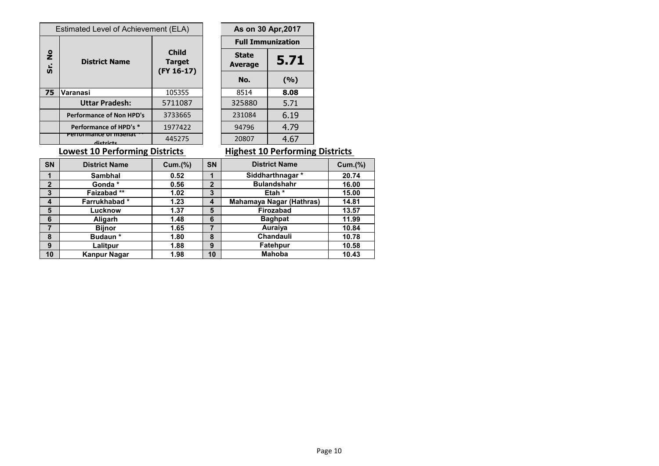|                     | Estimated Level of Achievement (ELA) | As on 30 Apr, 2017                            |                                |       |
|---------------------|--------------------------------------|-----------------------------------------------|--------------------------------|-------|
|                     |                                      |                                               | <b>Full Immunization</b>       |       |
| $\frac{1}{2}$<br>ູ່ | <b>District Name</b>                 | <b>Child</b><br><b>Target</b><br>$(FY 16-17)$ | <b>State</b><br><b>Average</b> | 5.7   |
|                     |                                      |                                               | No.                            | (9/6) |
| 75                  | Varanasi                             | 105355                                        | 8514                           | 8.08  |
|                     | <b>Uttar Pradesh:</b>                | 5711087                                       | 325880                         | 5.71  |
|                     | <b>Performance of Non HPD's</b>      | 3733665                                       | 231084                         | 6.19  |
|                     | Performance of HPD's *               | 1977422                                       | 94796                          | 4.79  |
|                     | Performance of msenat<br>dictricts   | 445275                                        | 20807                          | 4.67  |

| As on 30 Apr, 2017              |      |  |
|---------------------------------|------|--|
| <b>Full Immunization</b>        |      |  |
| State<br>5.71<br><b>Average</b> |      |  |
| No.                             | (%)  |  |
| 8514                            | 8.08 |  |
| 325880                          | 5.71 |  |
| 231084                          | 6.19 |  |
| 94796                           | 4.79 |  |
| 20807                           | 4.67 |  |

## **Lowest 10 Performing Districts**

## **Highest 10 Performing Districts**

| SN           | <b>District Name</b> | Cum.(%) | <b>SN</b>   | <b>District Name</b>            | Cum.(%) |
|--------------|----------------------|---------|-------------|---------------------------------|---------|
|              | <b>Sambhal</b>       | 0.52    |             | Siddharthnagar*                 | 20.74   |
| $\mathbf{2}$ | Gonda*               | 0.56    | $\mathbf 2$ | <b>Bulandshahr</b>              | 16.00   |
| 3            | Faizabad**           | 1.02    | 3           | Etah *                          | 15.00   |
| 4            | Farrukhabad*         | 1.23    | 4           | <b>Mahamaya Nagar (Hathras)</b> | 14.81   |
| 5            | Lucknow              | 1.37    | 5           | Firozabad                       | 13.57   |
| 6            | Aligarh              | 1.48    | 6           | <b>Baghpat</b>                  | 11.99   |
| 7            | <b>Bijnor</b>        | 1.65    | 7           | Auraiya                         | 10.84   |
| 8            | Budaun*              | 1.80    | 8           | Chandauli                       | 10.78   |
| 9            | Lalitpur             | 1.88    | 9           | Fatehpur                        | 10.58   |
| 10           | <b>Kanpur Nagar</b>  | 1.98    | 10          | <b>Mahoba</b>                   | 10.43   |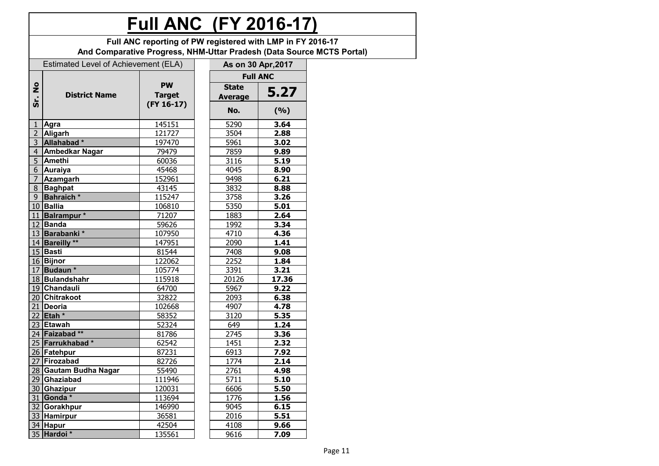# **Full ANC (FY 2016-17)**

**Full ANC reporting of PW registered with LMP in FY 2016-17 And Comparative Progress, NHM-Uttar Pradesh (Data Source MCTS Portal)**

| <b>Full ANC</b><br><b>PW</b><br>$\frac{1}{2}$<br><b>State</b><br>5.27<br><b>Target</b><br><b>District Name</b><br><b>Average</b><br>ູ່ສັ່<br>$(FY 16-17)$<br>No.<br>(9/0)<br>5290<br>145151<br>3.64<br>$1\,$<br>Agra<br>Aligarh<br>121727<br>3504<br>$\overline{2}$<br>2.88<br>$\overline{3}$<br>Allahabad*<br>5961<br>197470<br>3.02<br>$\overline{4}$<br><b>Ambedkar Nagar</b><br>79479<br>7859<br>9.89<br>5<br>60036<br><b>Amethi</b><br>3116<br>5.19<br>8.90<br>6<br>45468<br>4045<br><b>Auraiya</b><br>$\overline{7}$<br>Azamgarh<br>152961<br>9498<br>6.21<br>8<br>8.88<br><b>Baghpat</b><br>43145<br>3832<br>$\overline{9}$<br>Bahraich *<br>115247<br>3758<br>3.26<br>10 Ballia<br>5350<br>106810<br>5.01<br>11 Balrampur *<br>71207<br>1883<br>2.64<br>12 Banda<br>1992<br>3.34<br>59626<br>13 Barabanki *<br>4710<br>4.36<br>107950<br>14 Bareilly **<br>147951<br>2090<br>1.41<br>15 Basti<br>81544<br>7408<br>9.08<br>2252<br>16 Bijnor<br>122062<br>1.84<br>17 Budaun *<br>3.21<br>105774<br>3391<br>$17.\overline{36}$<br>18 Bulandshahr<br>115918<br>20126<br>19 Chandauli<br>64700<br>5967<br>9.22<br>20 Chitrakoot<br>32822<br>6.38<br>2093<br>21 Deoria<br>4907<br>4.78<br>102668<br>$22$ Etah $*$<br>3120<br>5.35<br>58352<br>23 Etawah<br>52324<br>649<br>1.24<br>24 Faizabad **<br>2745<br>3.36<br>81786<br>25 Farrukhabad*<br>62542<br>1451<br>2.32<br>26 Fatehpur<br>87231<br>6913<br>7.92<br>1774<br>2.14<br>27 Firozabad<br>82726<br>28 Gautam Budha Nagar<br>2761<br>55490<br>4.98<br>29<br>5711<br>5.10<br>Ghaziabad<br>111946<br>30 <sup>°</sup><br><b>Ghazipur</b><br>5.50<br>120031<br>6606<br>31 Gonda *<br>113694<br>1776<br>1.56<br>32 Gorakhpur<br>146990<br>9045<br>6.15<br>5.51<br>33 Hamirpur<br>36581<br>2016<br>34 Hapur<br>42504<br>4108<br>9.66<br>35 Hardoi *<br>135561<br>9616<br>7.09 | Estimated Level of Achievement (ELA) | As on 30 Apr, 2017 |  |  |
|-----------------------------------------------------------------------------------------------------------------------------------------------------------------------------------------------------------------------------------------------------------------------------------------------------------------------------------------------------------------------------------------------------------------------------------------------------------------------------------------------------------------------------------------------------------------------------------------------------------------------------------------------------------------------------------------------------------------------------------------------------------------------------------------------------------------------------------------------------------------------------------------------------------------------------------------------------------------------------------------------------------------------------------------------------------------------------------------------------------------------------------------------------------------------------------------------------------------------------------------------------------------------------------------------------------------------------------------------------------------------------------------------------------------------------------------------------------------------------------------------------------------------------------------------------------------------------------------------------------------------------------------------------------------------------------------------------------------------------------------------------------------------------------------------------------------------------------|--------------------------------------|--------------------|--|--|
|                                                                                                                                                                                                                                                                                                                                                                                                                                                                                                                                                                                                                                                                                                                                                                                                                                                                                                                                                                                                                                                                                                                                                                                                                                                                                                                                                                                                                                                                                                                                                                                                                                                                                                                                                                                                                                   |                                      |                    |  |  |
|                                                                                                                                                                                                                                                                                                                                                                                                                                                                                                                                                                                                                                                                                                                                                                                                                                                                                                                                                                                                                                                                                                                                                                                                                                                                                                                                                                                                                                                                                                                                                                                                                                                                                                                                                                                                                                   |                                      |                    |  |  |
|                                                                                                                                                                                                                                                                                                                                                                                                                                                                                                                                                                                                                                                                                                                                                                                                                                                                                                                                                                                                                                                                                                                                                                                                                                                                                                                                                                                                                                                                                                                                                                                                                                                                                                                                                                                                                                   |                                      |                    |  |  |
|                                                                                                                                                                                                                                                                                                                                                                                                                                                                                                                                                                                                                                                                                                                                                                                                                                                                                                                                                                                                                                                                                                                                                                                                                                                                                                                                                                                                                                                                                                                                                                                                                                                                                                                                                                                                                                   |                                      |                    |  |  |
|                                                                                                                                                                                                                                                                                                                                                                                                                                                                                                                                                                                                                                                                                                                                                                                                                                                                                                                                                                                                                                                                                                                                                                                                                                                                                                                                                                                                                                                                                                                                                                                                                                                                                                                                                                                                                                   |                                      |                    |  |  |
|                                                                                                                                                                                                                                                                                                                                                                                                                                                                                                                                                                                                                                                                                                                                                                                                                                                                                                                                                                                                                                                                                                                                                                                                                                                                                                                                                                                                                                                                                                                                                                                                                                                                                                                                                                                                                                   |                                      |                    |  |  |
|                                                                                                                                                                                                                                                                                                                                                                                                                                                                                                                                                                                                                                                                                                                                                                                                                                                                                                                                                                                                                                                                                                                                                                                                                                                                                                                                                                                                                                                                                                                                                                                                                                                                                                                                                                                                                                   |                                      |                    |  |  |
|                                                                                                                                                                                                                                                                                                                                                                                                                                                                                                                                                                                                                                                                                                                                                                                                                                                                                                                                                                                                                                                                                                                                                                                                                                                                                                                                                                                                                                                                                                                                                                                                                                                                                                                                                                                                                                   |                                      |                    |  |  |
|                                                                                                                                                                                                                                                                                                                                                                                                                                                                                                                                                                                                                                                                                                                                                                                                                                                                                                                                                                                                                                                                                                                                                                                                                                                                                                                                                                                                                                                                                                                                                                                                                                                                                                                                                                                                                                   |                                      |                    |  |  |
|                                                                                                                                                                                                                                                                                                                                                                                                                                                                                                                                                                                                                                                                                                                                                                                                                                                                                                                                                                                                                                                                                                                                                                                                                                                                                                                                                                                                                                                                                                                                                                                                                                                                                                                                                                                                                                   |                                      |                    |  |  |
|                                                                                                                                                                                                                                                                                                                                                                                                                                                                                                                                                                                                                                                                                                                                                                                                                                                                                                                                                                                                                                                                                                                                                                                                                                                                                                                                                                                                                                                                                                                                                                                                                                                                                                                                                                                                                                   |                                      |                    |  |  |
|                                                                                                                                                                                                                                                                                                                                                                                                                                                                                                                                                                                                                                                                                                                                                                                                                                                                                                                                                                                                                                                                                                                                                                                                                                                                                                                                                                                                                                                                                                                                                                                                                                                                                                                                                                                                                                   |                                      |                    |  |  |
|                                                                                                                                                                                                                                                                                                                                                                                                                                                                                                                                                                                                                                                                                                                                                                                                                                                                                                                                                                                                                                                                                                                                                                                                                                                                                                                                                                                                                                                                                                                                                                                                                                                                                                                                                                                                                                   |                                      |                    |  |  |
|                                                                                                                                                                                                                                                                                                                                                                                                                                                                                                                                                                                                                                                                                                                                                                                                                                                                                                                                                                                                                                                                                                                                                                                                                                                                                                                                                                                                                                                                                                                                                                                                                                                                                                                                                                                                                                   |                                      |                    |  |  |
|                                                                                                                                                                                                                                                                                                                                                                                                                                                                                                                                                                                                                                                                                                                                                                                                                                                                                                                                                                                                                                                                                                                                                                                                                                                                                                                                                                                                                                                                                                                                                                                                                                                                                                                                                                                                                                   |                                      |                    |  |  |
|                                                                                                                                                                                                                                                                                                                                                                                                                                                                                                                                                                                                                                                                                                                                                                                                                                                                                                                                                                                                                                                                                                                                                                                                                                                                                                                                                                                                                                                                                                                                                                                                                                                                                                                                                                                                                                   |                                      |                    |  |  |
|                                                                                                                                                                                                                                                                                                                                                                                                                                                                                                                                                                                                                                                                                                                                                                                                                                                                                                                                                                                                                                                                                                                                                                                                                                                                                                                                                                                                                                                                                                                                                                                                                                                                                                                                                                                                                                   |                                      |                    |  |  |
|                                                                                                                                                                                                                                                                                                                                                                                                                                                                                                                                                                                                                                                                                                                                                                                                                                                                                                                                                                                                                                                                                                                                                                                                                                                                                                                                                                                                                                                                                                                                                                                                                                                                                                                                                                                                                                   |                                      |                    |  |  |
|                                                                                                                                                                                                                                                                                                                                                                                                                                                                                                                                                                                                                                                                                                                                                                                                                                                                                                                                                                                                                                                                                                                                                                                                                                                                                                                                                                                                                                                                                                                                                                                                                                                                                                                                                                                                                                   |                                      |                    |  |  |
|                                                                                                                                                                                                                                                                                                                                                                                                                                                                                                                                                                                                                                                                                                                                                                                                                                                                                                                                                                                                                                                                                                                                                                                                                                                                                                                                                                                                                                                                                                                                                                                                                                                                                                                                                                                                                                   |                                      |                    |  |  |
|                                                                                                                                                                                                                                                                                                                                                                                                                                                                                                                                                                                                                                                                                                                                                                                                                                                                                                                                                                                                                                                                                                                                                                                                                                                                                                                                                                                                                                                                                                                                                                                                                                                                                                                                                                                                                                   |                                      |                    |  |  |
|                                                                                                                                                                                                                                                                                                                                                                                                                                                                                                                                                                                                                                                                                                                                                                                                                                                                                                                                                                                                                                                                                                                                                                                                                                                                                                                                                                                                                                                                                                                                                                                                                                                                                                                                                                                                                                   |                                      |                    |  |  |
|                                                                                                                                                                                                                                                                                                                                                                                                                                                                                                                                                                                                                                                                                                                                                                                                                                                                                                                                                                                                                                                                                                                                                                                                                                                                                                                                                                                                                                                                                                                                                                                                                                                                                                                                                                                                                                   |                                      |                    |  |  |
|                                                                                                                                                                                                                                                                                                                                                                                                                                                                                                                                                                                                                                                                                                                                                                                                                                                                                                                                                                                                                                                                                                                                                                                                                                                                                                                                                                                                                                                                                                                                                                                                                                                                                                                                                                                                                                   |                                      |                    |  |  |
|                                                                                                                                                                                                                                                                                                                                                                                                                                                                                                                                                                                                                                                                                                                                                                                                                                                                                                                                                                                                                                                                                                                                                                                                                                                                                                                                                                                                                                                                                                                                                                                                                                                                                                                                                                                                                                   |                                      |                    |  |  |
|                                                                                                                                                                                                                                                                                                                                                                                                                                                                                                                                                                                                                                                                                                                                                                                                                                                                                                                                                                                                                                                                                                                                                                                                                                                                                                                                                                                                                                                                                                                                                                                                                                                                                                                                                                                                                                   |                                      |                    |  |  |
|                                                                                                                                                                                                                                                                                                                                                                                                                                                                                                                                                                                                                                                                                                                                                                                                                                                                                                                                                                                                                                                                                                                                                                                                                                                                                                                                                                                                                                                                                                                                                                                                                                                                                                                                                                                                                                   |                                      |                    |  |  |
|                                                                                                                                                                                                                                                                                                                                                                                                                                                                                                                                                                                                                                                                                                                                                                                                                                                                                                                                                                                                                                                                                                                                                                                                                                                                                                                                                                                                                                                                                                                                                                                                                                                                                                                                                                                                                                   |                                      |                    |  |  |
|                                                                                                                                                                                                                                                                                                                                                                                                                                                                                                                                                                                                                                                                                                                                                                                                                                                                                                                                                                                                                                                                                                                                                                                                                                                                                                                                                                                                                                                                                                                                                                                                                                                                                                                                                                                                                                   |                                      |                    |  |  |
|                                                                                                                                                                                                                                                                                                                                                                                                                                                                                                                                                                                                                                                                                                                                                                                                                                                                                                                                                                                                                                                                                                                                                                                                                                                                                                                                                                                                                                                                                                                                                                                                                                                                                                                                                                                                                                   |                                      |                    |  |  |
|                                                                                                                                                                                                                                                                                                                                                                                                                                                                                                                                                                                                                                                                                                                                                                                                                                                                                                                                                                                                                                                                                                                                                                                                                                                                                                                                                                                                                                                                                                                                                                                                                                                                                                                                                                                                                                   |                                      |                    |  |  |
|                                                                                                                                                                                                                                                                                                                                                                                                                                                                                                                                                                                                                                                                                                                                                                                                                                                                                                                                                                                                                                                                                                                                                                                                                                                                                                                                                                                                                                                                                                                                                                                                                                                                                                                                                                                                                                   |                                      |                    |  |  |
|                                                                                                                                                                                                                                                                                                                                                                                                                                                                                                                                                                                                                                                                                                                                                                                                                                                                                                                                                                                                                                                                                                                                                                                                                                                                                                                                                                                                                                                                                                                                                                                                                                                                                                                                                                                                                                   |                                      |                    |  |  |
|                                                                                                                                                                                                                                                                                                                                                                                                                                                                                                                                                                                                                                                                                                                                                                                                                                                                                                                                                                                                                                                                                                                                                                                                                                                                                                                                                                                                                                                                                                                                                                                                                                                                                                                                                                                                                                   |                                      |                    |  |  |
|                                                                                                                                                                                                                                                                                                                                                                                                                                                                                                                                                                                                                                                                                                                                                                                                                                                                                                                                                                                                                                                                                                                                                                                                                                                                                                                                                                                                                                                                                                                                                                                                                                                                                                                                                                                                                                   |                                      |                    |  |  |
|                                                                                                                                                                                                                                                                                                                                                                                                                                                                                                                                                                                                                                                                                                                                                                                                                                                                                                                                                                                                                                                                                                                                                                                                                                                                                                                                                                                                                                                                                                                                                                                                                                                                                                                                                                                                                                   |                                      |                    |  |  |
|                                                                                                                                                                                                                                                                                                                                                                                                                                                                                                                                                                                                                                                                                                                                                                                                                                                                                                                                                                                                                                                                                                                                                                                                                                                                                                                                                                                                                                                                                                                                                                                                                                                                                                                                                                                                                                   |                                      |                    |  |  |
|                                                                                                                                                                                                                                                                                                                                                                                                                                                                                                                                                                                                                                                                                                                                                                                                                                                                                                                                                                                                                                                                                                                                                                                                                                                                                                                                                                                                                                                                                                                                                                                                                                                                                                                                                                                                                                   |                                      |                    |  |  |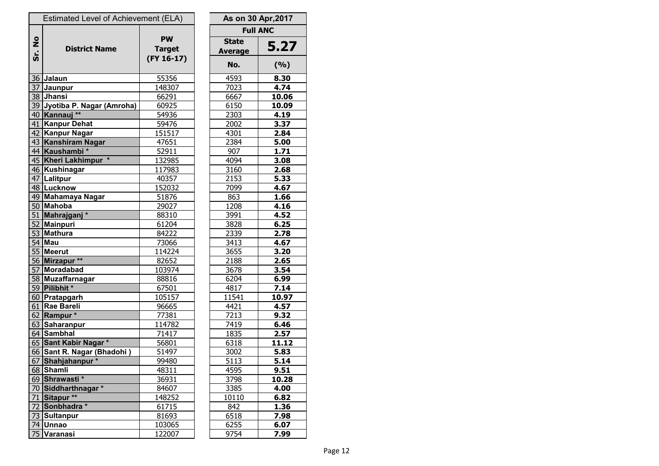|                    | Estimated Level of Achievement (ELA) |                            |  | As on 30 Apr, 2017 |       |  |
|--------------------|--------------------------------------|----------------------------|--|--------------------|-------|--|
|                    |                                      |                            |  | <b>Full ANC</b>    |       |  |
| $rac{1}{2}$<br>Śr. | <b>District Name</b>                 | <b>PW</b><br><b>Target</b> |  |                    | 5.27  |  |
|                    |                                      | $(FY 16-17)$               |  | No.                | (%)   |  |
|                    | 36 Jalaun                            | 55356                      |  | 4593               | 8.30  |  |
|                    | 37 Jaunpur                           | 148307                     |  | 7023               | 4.74  |  |
|                    | 38 Jhansi                            | 66291                      |  | 6667               | 10.06 |  |
|                    | 39 Jyotiba P. Nagar (Amroha)         | 60925                      |  | 6150               | 10.09 |  |
|                    | 40 Kannauj **                        | 54936                      |  | 2303               | 4.19  |  |
|                    | 41 Kanpur Dehat                      | 59476                      |  | 2002               | 3.37  |  |
|                    | 42 Kanpur Nagar                      | 151517                     |  | 4301               | 2.84  |  |
|                    | 43 Kanshiram Nagar                   | 47651                      |  | 2384               | 5.00  |  |
|                    | 44 Kaushambi*                        | 52911                      |  | 907                | 1.71  |  |
|                    | 45 Kheri Lakhimpur *                 | 132985                     |  | 4094               | 3.08  |  |
|                    | 46 Kushinagar                        | 117983                     |  | 3160               | 2.68  |  |
|                    | 47 Lalitpur                          | 40357                      |  | 2153               | 5.33  |  |
|                    | 48 Lucknow                           | 152032                     |  | 7099               | 4.67  |  |
|                    | 49 Mahamaya Nagar                    | 51876                      |  | 863                | 1.66  |  |
|                    | 50 Mahoba                            | 29027                      |  | 1208               | 4.16  |  |
|                    | 51 Mahrajganj*                       | 88310                      |  | 3991               | 4.52  |  |
|                    | 52 Mainpuri                          | 61204                      |  | 3828               | 6.25  |  |
|                    | 53 Mathura                           | 84222                      |  | 2339               | 2.78  |  |
|                    | 54 Mau                               | 73066                      |  | 3413               | 4.67  |  |
|                    | 55 Meerut                            | 114224                     |  | 3655               | 3.20  |  |
|                    | 56 Mirzapur **                       | 82652                      |  | 2188               | 2.65  |  |
|                    | 57 Moradabad                         | 103974                     |  | 3678               | 3.54  |  |
|                    | 58 Muzaffarnagar                     | 88816                      |  | 6204               | 6.99  |  |
|                    | 59 Pilibhit *                        | 67501                      |  | 4817               | 7.14  |  |
|                    | 60 Pratapgarh                        | 105157                     |  | 11541              | 10.97 |  |
|                    | 61 Rae Bareli                        | 96665                      |  | 4421               | 4.57  |  |
|                    | 62 Rampur *                          | 77381                      |  | 7213               | 9.32  |  |
|                    | 63 Saharanpur                        | 114782                     |  | 7419               | 6.46  |  |
|                    | 64 Sambhal                           | 71417                      |  | 1835               | 2.57  |  |
|                    | 65 Sant Kabir Nagar *                | 56801                      |  | 6318               | 11.12 |  |
|                    | 66 Sant R. Nagar (Bhadohi)           | 51497                      |  | 3002               | 5.83  |  |
|                    | 67 Shahjahanpur*                     | 99480                      |  | 5113               | 5.14  |  |
|                    | 68 Shamli                            | 48311                      |  | 4595               | 9.51  |  |
|                    | 69 Shrawasti *                       | 36931                      |  | 3798               | 10.28 |  |
|                    | 70 Siddharthnagar *                  | 84607                      |  | 3385               | 4.00  |  |
|                    | 71 Sitapur **                        | 148252                     |  | 10110              | 6.82  |  |
|                    | 72 Sonbhadra *                       | 61715                      |  | 842                | 1.36  |  |
|                    | 73 Sultanpur                         | 81693                      |  | 6518               | 7.98  |  |
|                    | 74 Unnao                             | 103065                     |  | 6255               | 6.07  |  |
|                    | 75 Varanasi                          | 122007                     |  | 9754               | 7.99  |  |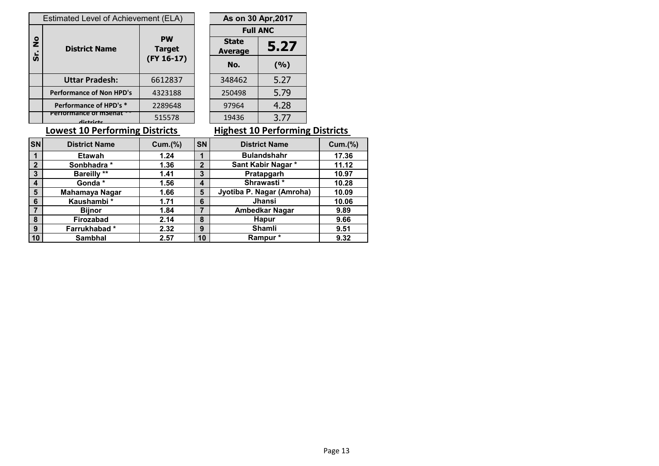|                     | Estimated Level of Achievement (ELA) | As on 30 Apr, 2017         |                                |                 |
|---------------------|--------------------------------------|----------------------------|--------------------------------|-----------------|
|                     |                                      |                            |                                | <b>Full ANC</b> |
| $\frac{1}{2}$<br>ູ່ | <b>District Name</b>                 | <b>PW</b><br><b>Target</b> | <b>State</b><br><b>Average</b> | $5.2^{\circ}$   |
|                     |                                      | $(FY 16-17)$               | No.                            | (9/6)           |
|                     | <b>Uttar Pradesh:</b>                | 6612837                    | 348462                         | 5.27            |
|                     | <b>Performance of Non HPD's</b>      | 4323188                    | 250498                         | 5.79            |
|                     | Performance of HPD's *               | 2289648                    | 97964                          | 4.28            |
|                     | Percontrice of Insensi<br>dictricts  | 515578                     | 19436                          | 3.77            |
|                     | .                                    |                            |                                |                 |

| As on 30 Apr, 2017              |       |  |  |
|---------------------------------|-------|--|--|
| <b>Full ANC</b>                 |       |  |  |
| State<br>5.27<br><b>Average</b> |       |  |  |
| No.                             | (9/6) |  |  |
| 348462                          | 5.27  |  |  |
| 250498                          | 5.79  |  |  |
| 97964                           | 4.28  |  |  |
| 19436                           | 3.77  |  |  |

### **Lowest 10 Performing Districts Highest 10 Performing Districts**

| <b>SN</b>               | <b>District Name</b>  | Cum.(% ) | <b>SN</b>    | <b>District Name</b>      | Cum.(%) |
|-------------------------|-----------------------|----------|--------------|---------------------------|---------|
| -1                      | <b>Etawah</b>         | 1.24     |              | <b>Bulandshahr</b>        | 17.36   |
| $\overline{2}$          | Sonbhadra*            | 1.36     | $\mathbf{2}$ | Sant Kabir Nagar*         | 11.12   |
| 3                       | <b>Bareilly **</b>    | 1.41     | 3            | Pratapgarh                | 10.97   |
| $\overline{\mathbf{4}}$ | Gonda*                | 1.56     | 4            | Shrawasti*                | 10.28   |
| 5                       | <b>Mahamaya Nagar</b> | 1.66     | 5            | Jyotiba P. Nagar (Amroha) | 10.09   |
| 6                       | Kaushambi*            | 1.71     | 6            | <b>Jhansi</b>             | 10.06   |
|                         | <b>Bijnor</b>         | 1.84     |              | <b>Ambedkar Nagar</b>     | 9.89    |
| -8                      | Firozabad             | 2.14     | 8            | <b>Hapur</b>              | 9.66    |
| -9                      | Farrukhabad*          | 2.32     | 9            | <b>Shamli</b>             | 9.51    |
| 10                      | <b>Sambhal</b>        | 2.57     | 10           | Rampur*                   | 9.32    |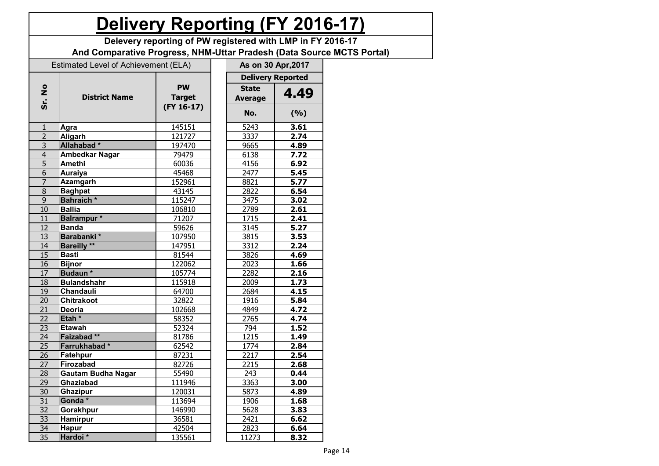## **Delivery Reporting (FY 2016-17)**

**Delevery reporting of PW registered with LMP in FY 2016-17**

**And Comparative Progress, NHM-Uttar Pradesh (Data Source MCTS Portal)**

|                 | Estimated Level of Achievement (ELA) |               |  |                | As on 30 Apr, 2017       |  |
|-----------------|--------------------------------------|---------------|--|----------------|--------------------------|--|
|                 |                                      |               |  |                | <b>Delivery Reported</b> |  |
| $\frac{1}{2}$   |                                      | <b>PW</b>     |  | <b>State</b>   |                          |  |
|                 | <b>District Name</b>                 | <b>Target</b> |  | <b>Average</b> | 4.49                     |  |
| <u>ຈັ່</u>      |                                      | $(FY 16-17)$  |  | No.            | (%)                      |  |
| $\mathbf{1}$    | Agra                                 | 145151        |  | 5243           | 3.61                     |  |
| $\overline{2}$  | <b>Aligarh</b>                       | 121727        |  | 3337           | 2.74                     |  |
| 3               | Allahabad*                           | 197470        |  | 9665           | 4.89                     |  |
| $\overline{4}$  | <b>Ambedkar Nagar</b>                | 79479         |  | 6138           | 7.72                     |  |
| $\frac{1}{5}$   | Amethi                               | 60036         |  | 4156           | 6.92                     |  |
| $\overline{6}$  | <b>Auraiya</b>                       | 45468         |  | 2477           | 5.45                     |  |
| $\overline{7}$  | <b>Azamgarh</b>                      | 152961        |  | 8821           | 5.77                     |  |
| $\overline{8}$  | <b>Baghpat</b>                       | 43145         |  | 2822           | 6.54                     |  |
| $\overline{9}$  | Bahraich*                            | 115247        |  | 3475           | 3.02                     |  |
| 10              | <b>Ballia</b>                        | 106810        |  | 2789           | 2.61                     |  |
| 11              | Balrampur*                           | 71207         |  | 1715           | 2.41                     |  |
| 12              | <b>Banda</b>                         | 59626         |  | 3145           | 5.27                     |  |
| 13              | Barabanki*                           | 107950        |  | 3815           | 3.53                     |  |
| 14              | <b>Bareilly</b> **                   | 147951        |  | 3312           | 2.24                     |  |
| $\overline{15}$ | <b>Basti</b>                         | 81544         |  | 3826           | 4.69                     |  |
| 16              | <b>Bijnor</b>                        | 122062        |  | 2023           | 1.66                     |  |
| 17              | Budaun <sup>*</sup>                  | 105774        |  | 2282           | 2.16                     |  |
| $\overline{18}$ | <b>Bulandshahr</b>                   | 115918        |  | 2009           | 1.73                     |  |
| 19              | Chandauli                            | 64700         |  | 2684           | 4.15                     |  |
| 20              | <b>Chitrakoot</b>                    | 32822         |  | 1916           | 5.84                     |  |
| $\overline{21}$ | <b>Deoria</b>                        | 102668        |  | 4849           | 4.72                     |  |
| $\overline{22}$ | Etah <sup>*</sup>                    | 58352         |  | 2765           | 4.74                     |  |
| $\overline{23}$ | <b>Etawah</b>                        | 52324         |  | 794            | 1.52                     |  |
| $\overline{24}$ | Faizabad**                           | 81786         |  | 1215           | 1.49                     |  |
| $\overline{25}$ | Farrukhabad*                         | 62542         |  | 1774           | 2.84                     |  |
| 26              | Fatehpur                             | 87231         |  | 2217           | 2.54                     |  |
| 27              | Firozabad                            | 82726         |  | 2215           | 2.68                     |  |
| $\overline{28}$ | <b>Gautam Budha Nagar</b>            | 55490         |  | 243            | 0.44                     |  |
| $\overline{29}$ | Ghaziabad                            | 111946        |  | 3363           | 3.00                     |  |
| $\overline{30}$ | Ghazipur                             | 120031        |  | 5873           | 4.89                     |  |
| $\overline{31}$ | Gonda *                              | 113694        |  | 1906           | 1.68                     |  |
| $\overline{32}$ | Gorakhpur                            | 146990        |  | 5628           | 3.83                     |  |
| 33              | Hamirpur                             | 36581         |  | 2421           | 6.62                     |  |
| 34              | <b>Hapur</b>                         | 42504         |  | 2823           | 6.64                     |  |
| $\overline{35}$ | Hardoi*                              | 135561        |  | 11273          | 8.32                     |  |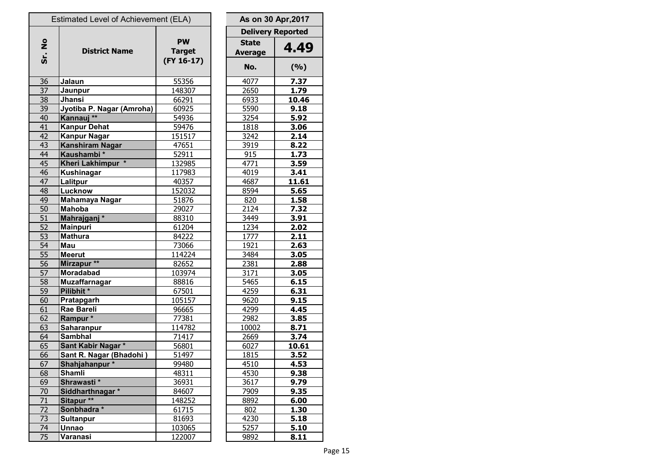|                 | <b>Estimated Level of Achievement (ELA)</b> |               | As on 30 Apr, 2017       |       |
|-----------------|---------------------------------------------|---------------|--------------------------|-------|
|                 |                                             |               | <b>Delivery Reported</b> |       |
| $rac{1}{2}$     |                                             | <b>PW</b>     | <b>State</b>             |       |
|                 | <b>District Name</b>                        | <b>Target</b> | <b>Average</b>           | 4.49  |
| ູ່              |                                             | $(FY 16-17)$  | No.                      | (%)   |
|                 |                                             |               |                          |       |
| 36              | Jalaun                                      | 55356         | 4077                     | 7.37  |
| $\overline{37}$ | Jaunpur                                     | 148307        | 2650                     | 1.79  |
| 38              | Jhansi                                      | 66291         | 6933                     | 10.46 |
| 39              | Jyotiba P. Nagar (Amroha)                   | 60925         | 5590                     | 9.18  |
| 40              | Kannauj **                                  | 54936         | 3254                     | 5.92  |
| 41              | <b>Kanpur Dehat</b>                         | 59476         | 1818                     | 3.06  |
| 42              | <b>Kanpur Nagar</b>                         | 151517        | 3242                     | 2.14  |
| 43              | <b>Kanshiram Nagar</b>                      | 47651         | 3919                     | 8.22  |
| 44              | Kaushambi*                                  | 52911         | 915                      | 1.73  |
| 45              | Kheri Lakhimpur *                           | 132985        | 4771                     | 3.59  |
| 46              | Kushinagar                                  | 117983        | 4019                     | 3.41  |
| 47              | Lalitpur                                    | 40357         | 4687                     | 11.61 |
| 48              | Lucknow                                     | 152032        | 8594                     | 5.65  |
| 49              | Mahamaya Nagar                              | 51876         | 820                      | 1.58  |
| 50              | <b>Mahoba</b>                               | 29027         | 2124                     | 7.32  |
| 51              | Mahrajganj*                                 | 88310         | 3449                     | 3.91  |
| $\overline{52}$ | <b>Mainpuri</b>                             | 61204         | 1234                     | 2.02  |
| 53              | <b>Mathura</b>                              | 84222         | 1777                     | 2.11  |
| 54              | Mau                                         | 73066         | 1921                     | 2.63  |
| $\overline{55}$ | <b>Meerut</b>                               | 114224        | 3484                     | 3.05  |
| 56              | Mirzapur **                                 | 82652         | 2381                     | 2.88  |
| $\overline{57}$ | Moradabad                                   | 103974        | 3171                     | 3.05  |
| $\overline{58}$ | <b>Muzaffarnagar</b>                        | 88816         | 5465                     | 6.15  |
| 59              | Pilibhit*                                   | 67501         | 4259                     | 6.31  |
| 60              | Pratapgarh                                  | 105157        | 9620                     | 9.15  |
| 61              | Rae Bareli                                  | 96665         | 4299                     | 4.45  |
| 62              | Rampur*                                     | 77381         | 2982                     | 3.85  |
| 63              | Saharanpur                                  | 114782        | 10002                    | 8.71  |
| 64              | <b>Sambhal</b>                              | 71417         | 2669                     | 3.74  |
| 65              | Sant Kabir Nagar*                           | 56801         | 6027                     | 10.61 |
| 66              | Sant R. Nagar (Bhadohi)                     | 51497         | 1815                     | 3.52  |
| 67              | Shahjahanpur*                               | 99480         | 4510                     | 4.53  |
| 68              | <b>Shamli</b>                               | 48311         | 4530                     | 9.38  |
| 69              | Shrawasti*                                  | 36931         | 3617                     | 9.79  |
| 70              | Siddharthnagar *                            | 84607         | 7909                     | 9.35  |
| 71              | Sitapur <sup>**</sup>                       | 148252        | 8892                     | 6.00  |
| 72              | Sonbhadra *                                 | 61715         | 802                      | 1.30  |
| 73              | <b>Sultanpur</b>                            | 81693         | 4230                     | 5.18  |
| 74              | <b>Unnao</b>                                | 103065        | 5257                     | 5.10  |
| 75              | Varanasi                                    | 122007        | 9892                     | 8.11  |
|                 |                                             |               |                          |       |

| As on 30 Apr, 2017             |                          |
|--------------------------------|--------------------------|
|                                | <b>Delivery Reported</b> |
| <b>State</b><br><b>Average</b> | 4.49                     |
| No.                            | (9/0)                    |
| 4077                           | 7.37                     |
| 2650                           | 1.79                     |
| 6933                           | 10.46                    |
| 5590                           | 9.18                     |
| 3254                           | 5.92                     |
| 1818                           | 3.06                     |
| 3242                           | 2.14                     |
| 39 <u>19</u>                   | 8.22                     |
| 915                            | 1.73                     |
| 4771                           | 3.59                     |
| 4019                           | 3.41                     |
| 4687                           | <u> 11.61</u>            |
| 8594                           | <u>5.65</u>              |
| 820                            | 1.58                     |
| 2124                           | <u>7.32</u>              |
| 3449                           | <u>3.91</u>              |
| 1234                           | <u>2.02</u>              |
| 1777                           | 2.11                     |
| 1921                           | 2.63                     |
| 3484                           | 3.05                     |
| 2381                           | 2.88                     |
| 3171                           | 3.05                     |
| 5465                           | 6.15                     |
| 4259                           | 6.31                     |
| 9620                           | 9.15                     |
| 4299                           | 4.45                     |
| 2982                           | 3.85                     |
| 10002                          | 8.71                     |
| 2669                           | 3.74                     |
| 6027                           | 10.61                    |
| 1815                           | <u>3.52</u>              |
| 4510                           | 4.53                     |
| 4530                           | 9.38                     |
| 3617                           | 9.79                     |
| 7909                           | 9.35                     |
| 8892                           | 6.00                     |
| 802                            | 1.30                     |
| 4230                           | 5.18                     |
| 5257                           | 5.10                     |
| 9892                           | $\overline{9}$ 11        |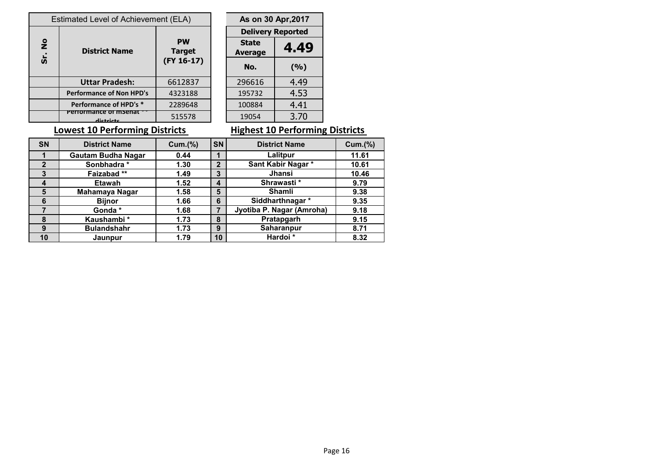| Estimated Level of Achievement (ELA) |                                    |                                            |  | As on 30 Apr, 2017             |                          |
|--------------------------------------|------------------------------------|--------------------------------------------|--|--------------------------------|--------------------------|
|                                      |                                    |                                            |  |                                | <b>Delivery Reported</b> |
| $\frac{1}{2}$<br>Sr.                 | <b>District Name</b>               | <b>PW</b><br><b>Target</b><br>$(FY 16-17)$ |  | <b>State</b><br><b>Average</b> |                          |
|                                      |                                    |                                            |  | No.                            | (%)                      |
|                                      | <b>Uttar Pradesh:</b>              | 6612837                                    |  | 296616                         | 4.49                     |
|                                      | <b>Performance of Non HPD's</b>    | 4323188                                    |  | 195732                         | 4.53                     |
|                                      | Performance of HPD's *             | 2289648                                    |  | 100884                         | 4.41                     |
|                                      | Performance of msenar<br>dictricts | 515578                                     |  | 19054                          | 3.70                     |

| As on 30 Apr, 2017                     |       |  |
|----------------------------------------|-------|--|
| <b>Delivery Reported</b>               |       |  |
| <b>State</b><br>4.49<br><b>Average</b> |       |  |
| No.                                    | (9/0) |  |
| 296616                                 | 4.49  |  |
| 195732                                 | 4.53  |  |
| 100884                                 | 4.41  |  |
| 19054                                  | 3.70  |  |

## **Lowest 10 Performing Districts Follow Highest 10 Performing Districts**

| <b>SN</b> | <b>District Name</b>      | Cum.(% ) | <b>SN</b>        | <b>District Name</b>      | Cum.(%) |
|-----------|---------------------------|----------|------------------|---------------------------|---------|
|           | <b>Gautam Budha Nagar</b> | 0.44     |                  | Lalitpur                  | 11.61   |
| 2         | Sonbhadra*                | 1.30     | $\mathbf 2$      | Sant Kabir Nagar*         | 10.61   |
| 3         | Faizabad**                | 1.49     | 3                | <b>Jhansi</b>             | 10.46   |
|           | <b>Etawah</b>             | 1.52     | $\boldsymbol{4}$ | Shrawasti*                | 9.79    |
| 5         | Mahamaya Nagar            | 1.58     | 5                | <b>Shamli</b>             | 9.38    |
| 6         | <b>Bijnor</b>             | 1.66     | 6                | Siddharthnagar*           | 9.35    |
|           | Gonda *                   | 1.68     |                  | Jyotiba P. Nagar (Amroha) | 9.18    |
| 8         | Kaushambi*                | 1.73     | 8                | Pratapgarh                | 9.15    |
| 9         | <b>Bulandshahr</b>        | 1.73     | 9                | Saharanpur                | 8.71    |
| 10        | Jaunpur                   | 1.79     | 10               | Hardoi*                   | 8.32    |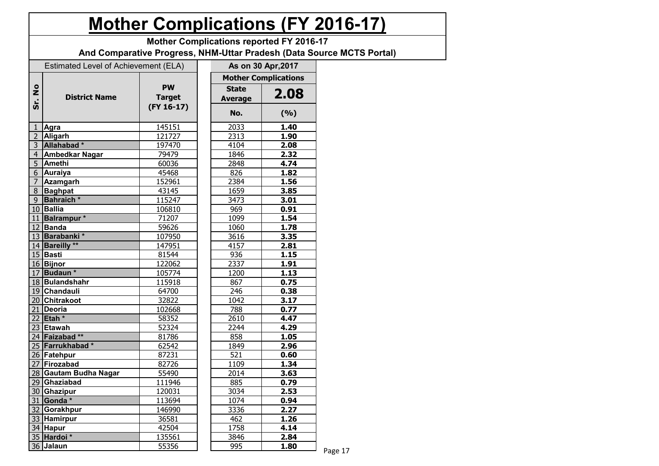# **Mother Complications (FY 2016-17)**

**Mother Complications reported FY 2016-17**

**And Comparative Progress, NHM-Uttar Pradesh (Data Source MCTS Portal)**

|                | Estimated Level of Achievement (ELA) |               |  | As on 30 Apr, 2017 |                             |  |  |
|----------------|--------------------------------------|---------------|--|--------------------|-----------------------------|--|--|
|                |                                      |               |  |                    | <b>Mother Complications</b> |  |  |
| $\frac{1}{2}$  |                                      | <b>PW</b>     |  | <b>State</b>       | 2.08                        |  |  |
| Śr.            | <b>District Name</b>                 | <b>Target</b> |  | <b>Average</b>     |                             |  |  |
|                |                                      | $(FY 16-17)$  |  | No.                | (9/6)                       |  |  |
| 1              | Agra                                 | 145151        |  | 2033               | 1.40                        |  |  |
| $\overline{2}$ | <b>Aligarh</b>                       | 121727        |  | 2313               | 1.90                        |  |  |
| $\overline{3}$ | Allahabad*                           | 197470        |  | 4104               | 2.08                        |  |  |
| $\overline{4}$ | <b>Ambedkar Nagar</b>                | 79479         |  | 1846               | 2.32                        |  |  |
| 5              | <b>Amethi</b>                        | 60036         |  | 2848               | 4.74                        |  |  |
| 6              | <b>Auraiya</b>                       | 45468         |  | 826                | 1.82                        |  |  |
| $\overline{7}$ | Azamgarh                             | 152961        |  | 2384               | 1.56                        |  |  |
| $\overline{8}$ | <b>Baghpat</b>                       | 43145         |  | 1659               | 3.85                        |  |  |
| $\overline{9}$ | <b>Bahraich</b> *                    | 115247        |  | 3473               | 3.01                        |  |  |
|                | 10 Ballia                            | 106810        |  | 969                | 0.91                        |  |  |
|                | 11 Balrampur *                       | 71207         |  | 1099               | 1.54                        |  |  |
|                | 12 Banda                             | 59626         |  | 1060               | 1.78                        |  |  |
|                | 13 Barabanki*                        | 107950        |  | 3616               | 3.35                        |  |  |
|                | 14 Bareilly **                       | 147951        |  | 4157               | 2.81                        |  |  |
|                | 15 Basti                             | 81544         |  | 936                | 1.15                        |  |  |
|                | 16 Bijnor                            | 122062        |  | 2337               | 1.91                        |  |  |
|                | 17 Budaun *                          | 105774        |  | 1200               | 1.13                        |  |  |
|                | 18 Bulandshahr                       | 115918        |  | 867                | 0.75                        |  |  |
|                | 19 Chandauli                         | 64700         |  | 246                | 0.38                        |  |  |
|                | 20 Chitrakoot                        | 32822         |  | 1042               | 3.17                        |  |  |
|                | 21 Deoria                            | 102668        |  | 788                | 0.77                        |  |  |
|                | 22 Etah $*$                          | 58352         |  | 2610               | 4.47                        |  |  |
|                | 23 Etawah                            | 52324         |  | 2244               | 4.29                        |  |  |
|                | 24 Faizabad **                       | 81786         |  | 858                | 1.05                        |  |  |
|                | 25 Farrukhabad*                      | 62542         |  | 1849               | 2.96                        |  |  |
|                | 26 Fatehpur                          | 87231         |  | 521                | 0.60                        |  |  |
|                | 27 Firozabad                         | 82726         |  | 1109               | 1.34                        |  |  |
|                | 28 Gautam Budha Nagar                | 55490         |  | 2014               | 3.63                        |  |  |
|                | 29 Ghaziabad                         | 111946        |  | 885                | 0.79                        |  |  |
|                | 30 Ghazipur                          | 120031        |  | 3034               | 2.53                        |  |  |
|                | 31 Gonda *                           | 113694        |  | 1074               | 0.94                        |  |  |
|                | 32 Gorakhpur                         | 146990        |  | 3336               | 2.27                        |  |  |
|                | 33 Hamirpur                          | 36581         |  | 462                | 1.26                        |  |  |
|                | 34 Hapur                             | 42504         |  | 1758               | 4.14                        |  |  |
|                | 35 Hardoi *                          | 135561        |  | 3846               | 2.84                        |  |  |
|                | 36 Jalaun                            | 55356         |  | 995                | 1.80                        |  |  |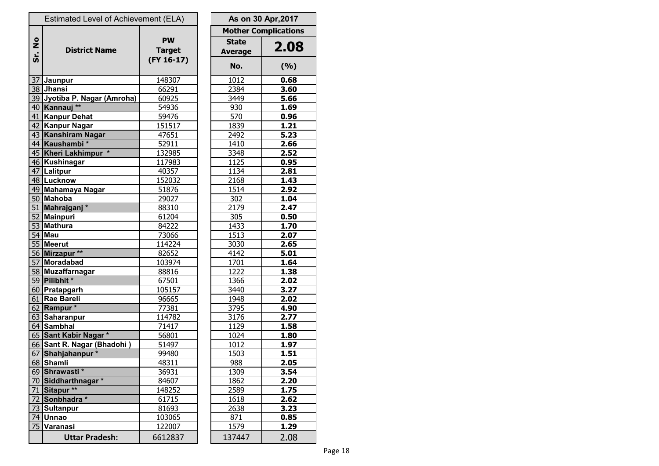|               | Estimated Level of Achievement (ELA) |                               |                | As on 30 Apr, 2017          |  |
|---------------|--------------------------------------|-------------------------------|----------------|-----------------------------|--|
|               |                                      |                               |                | <b>Mother Complications</b> |  |
| $\frac{1}{2}$ |                                      | <b>PW</b>                     | <b>State</b>   | 2.08                        |  |
| Śr.           | <b>District Name</b>                 | <b>Target</b><br>$(FY 16-17)$ | <b>Average</b> |                             |  |
|               |                                      |                               | No.            | (9/6)                       |  |
| 37            | Jaunpur                              | 148307                        | 1012           | 0.68                        |  |
|               | 38 Jhansi                            | 66291                         | 2384           | 3.60                        |  |
|               | 39 Jyotiba P. Nagar (Amroha)         | 60925                         | 3449           | 5.66                        |  |
|               | 40 Kannauj **                        | 54936                         | 930            | 1.69                        |  |
|               | 41 Kanpur Dehat                      | 59476                         | 570            | 0.96                        |  |
|               | 42 Kanpur Nagar                      | 151517                        | 1839           | 1.21                        |  |
|               | 43 Kanshiram Nagar                   | 47651                         | 2492           | 5.23                        |  |
|               | 44 Kaushambi*                        | 52911                         | 1410           | 2.66                        |  |
|               | 45 Kheri Lakhimpur *                 | 132985                        | 3348           | 2.52                        |  |
|               | 46 Kushinagar                        | 117983                        | 1125           | 0.95                        |  |
| 47            | Lalitpur                             | 40357                         | 1134           | 2.81                        |  |
|               | 48 Lucknow                           | 152032                        | 2168           | 1.43                        |  |
|               | 49 Mahamaya Nagar                    | 51876                         | 1514           | 2.92                        |  |
|               | 50 Mahoba                            | 29027                         | 302            | 1.04                        |  |
|               | 51 Mahrajganj*                       | 88310                         | 2179           | 2.47                        |  |
| 52            | <b>Mainpuri</b>                      | 61204                         | 305            | 0.50                        |  |
| 53            | <b>Mathura</b>                       | 84222                         | 1433           | 1.70                        |  |
|               | 54 Mau                               | 73066                         | 1513           | 2.07                        |  |
| 55            | <b>Meerut</b>                        | 114224                        | 3030           | 2.65                        |  |
|               | 56 Mirzapur **                       | 82652                         | 4142           | 5.01                        |  |
| 57            | Moradabad                            | 103974                        | 1701           | 1.64                        |  |
|               | 58 Muzaffarnagar                     | 88816                         | 1222           | 1.38                        |  |
|               | 59 Pilibhit *                        | 67501                         | 1366           | 2.02                        |  |
|               | 60 Pratapgarh                        | 105157                        | 3440           | 3.27                        |  |
| 61            | <b>Rae Bareli</b>                    | 96665                         | 1948           | 2.02                        |  |
|               | 62 Rampur $*$                        | 77381                         | 3795           | 4.90                        |  |
| 63            | Saharanpur                           | 114782                        | 3176           | 2.77                        |  |
|               | 64 Sambhal                           | 71417                         | 1129           | 1.58                        |  |
|               | 65 Sant Kabir Nagar *                | 56801                         | 1024           | 1.80                        |  |
|               | 66 Sant R. Nagar (Bhadohi)           | $\overline{51497}$            | 1012           | 1.97                        |  |
|               | 67 Shahjahanpur*                     | 99480                         | 1503           | 1.51                        |  |
|               | 68 Shamli                            | 48311                         | 988            | 2.05                        |  |
|               | 69 Shrawasti*                        | 36931                         | 1309           | 3.54                        |  |
|               | 70 Siddharthnagar *                  | 84607                         | 1862           | 2.20                        |  |
|               | 71 Sitapur **                        | 148252                        | 2589           | 1.75                        |  |
|               | 72 Sonbhadra *                       | 61715                         | 1618           | 2.62                        |  |
|               | 73 Sultanpur                         | 81693                         | 2638           | 3.23                        |  |
|               | 74 Unnao                             | 103065                        | 871            | 0.85                        |  |
|               | 75 Varanasi                          | 122007                        | 1579           | 1.29                        |  |
|               | <b>Uttar Pradesh:</b>                | 6612837                       | 137447         | 2.08                        |  |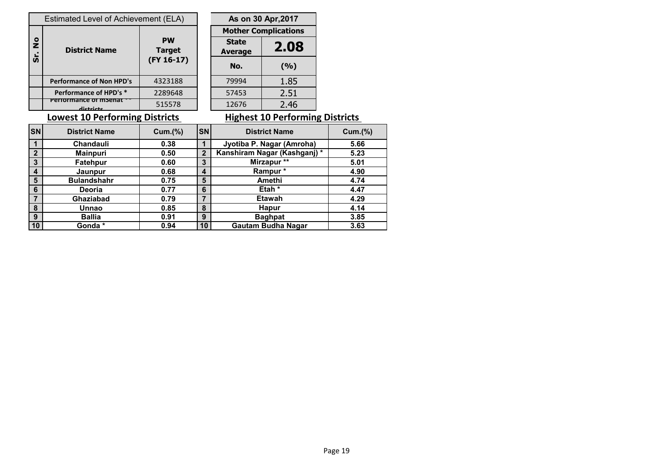|                            | Estimated Level of Achievement (ELA)       |                            |                         | As on 30 Apr, 2017             |                                        |         |
|----------------------------|--------------------------------------------|----------------------------|-------------------------|--------------------------------|----------------------------------------|---------|
|                            |                                            |                            |                         |                                | <b>Mother Complications</b>            |         |
| $\frac{1}{2}$<br><u>ີ່</u> | <b>District Name</b>                       | <b>PW</b><br><b>Target</b> |                         | <b>State</b><br><b>Average</b> | 2.08                                   |         |
|                            |                                            | $(FY 16-17)$               |                         | No.                            | (%)                                    |         |
|                            | <b>Performance of Non HPD's</b>            | 4323188                    |                         | 79994                          | 1.85                                   |         |
|                            | Performance of HPD's *                     | 2289648                    |                         | 57453                          | 2.51                                   |         |
|                            | PERMIT (OPINING TO THE PERMIT<br>dictricts | 515578                     |                         | 12676                          | 2.46                                   |         |
|                            | <b>Lowest 10 Performing Districts</b>      |                            |                         |                                | <b>Highest 10 Performing Districts</b> |         |
| <b>SN</b>                  | <b>District Name</b>                       | Cum.(%)                    | <b>SN</b>               |                                | <b>District Name</b>                   | Cum.(%) |
| 1                          | <b>Chandauli</b>                           | 0.38                       |                         |                                |                                        |         |
|                            |                                            |                            |                         |                                | Jyotiba P. Nagar (Amroha)              | 5.66    |
| $\mathbf{2}$               | <b>Mainpuri</b>                            | 0.50                       | $\overline{2}$          |                                | Kanshiram Nagar (Kashganj)*            | 5.23    |
| $\overline{3}$             | Fatehpur                                   | 0.60                       | 3                       |                                | Mirzapur **                            | 5.01    |
| 4                          | Jaunpur                                    | 0.68                       | $\overline{\mathbf{4}}$ |                                | Rampur*                                | 4.90    |
| 5                          | <b>Bulandshahr</b>                         | 0.75                       | 5                       |                                | <b>Amethi</b>                          | 4.74    |
| 6                          | Deoria                                     | 0.77                       | 6                       |                                | Etah *                                 | 4.47    |
| $\overline{7}$             | Ghaziabad                                  | 0.79                       | $\overline{7}$          |                                | <b>Etawah</b>                          | 4.29    |
| 8                          | <b>Unnao</b>                               | 0.85                       | 8                       |                                | <b>Hapur</b>                           | 4.14    |

**10 Gonda \* 0.94 10 3.63**

**Gautam Budha Nagar**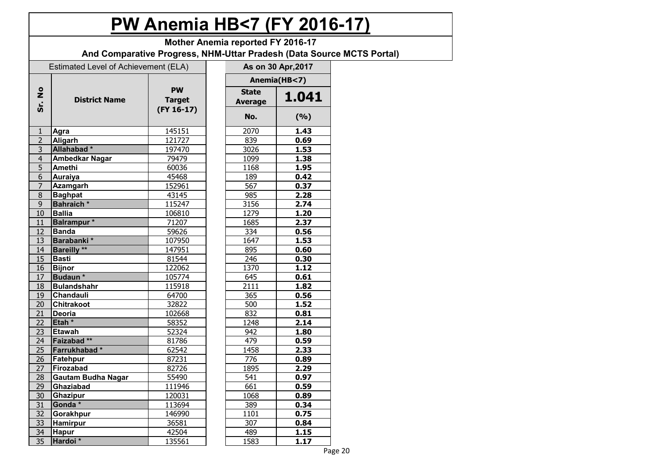# **PW Anemia HB<7 (FY 2016-17)**

**Mother Anemia reported FY 2016-17**

**And Comparative Progress, NHM-Uttar Pradesh (Data Source MCTS Portal)**

|                            | Estimated Level of Achievement (ELA) |                                            |                                | As on 30 Apr, 2017 |
|----------------------------|--------------------------------------|--------------------------------------------|--------------------------------|--------------------|
|                            |                                      |                                            |                                | Anemia(HB<7)       |
| $\frac{1}{2}$<br><u>ີ່</u> | <b>District Name</b>                 | <b>PW</b><br><b>Target</b><br>$(FY 16-17)$ | <b>State</b><br><b>Average</b> | 1.041              |
|                            |                                      |                                            | No.                            | (%)                |
| $\mathbf{1}$               | Agra                                 | 145151                                     | 2070                           | 1.43               |
| $\overline{2}$             | <b>Aligarh</b>                       | 121727                                     | 839                            | 0.69               |
| $\overline{3}$             | Allahabad*                           | 197470                                     | 3026                           | 1.53               |
| $\overline{4}$             | <b>Ambedkar Nagar</b>                | 79479                                      | 1099                           | 1.38               |
| $\overline{5}$             | Amethi                               | 60036                                      | 1168                           | 1.95               |
| 6                          | <b>Auraiya</b>                       | 45468                                      | 189                            | 0.42               |
| $\overline{7}$             | Azamgarh                             | 152961                                     | 567                            | 0.37               |
| $\overline{8}$             | <b>Baghpat</b>                       | 43145                                      | 985                            | 2.28               |
| $\overline{9}$             | Bahraich *                           | 115247                                     | 3156                           | 2.74               |
| 10                         | <b>Ballia</b>                        | 106810                                     | 1279                           | 1.20               |
| 11                         | Balrampur*                           | 71207                                      | 1685                           | 2.37               |
| $\overline{12}$            | <b>Banda</b>                         | 59626                                      | 334                            | 0.56               |
| 13                         | Barabanki *                          | 107950                                     | 1647                           | 1.53               |
| 14                         | <b>Bareilly</b> **                   | 147951                                     | 895                            | 0.60               |
| 15                         | <b>Basti</b>                         | 81544                                      | 246                            | 0.30               |
| 16                         | <b>Bijnor</b>                        | 122062                                     | 1370                           | 1.12               |
| $\overline{17}$            | Budaun <sup>*</sup>                  | 105774                                     | 645                            | 0.61               |
| 18                         | <b>Bulandshahr</b>                   | 115918                                     | 2111                           | 1.82               |
| 19                         | <b>Chandauli</b>                     | 64700                                      | 365                            | 0.56               |
| 20                         | Chitrakoot                           | 32822                                      | 500                            | 1.52               |
| $\overline{21}$            | <b>Deoria</b>                        | 102668                                     | 832                            | 0.81               |
| $\overline{22}$            | Etah <sup>*</sup>                    | 58352                                      | 1248                           | 2.14               |
| $\overline{23}$            | <b>Etawah</b>                        | 52324                                      | 942                            | 1.80               |
| 24                         | Faizabad **                          | 81786                                      | 479                            | 0.59               |
| $\overline{25}$            | Farrukhabad*                         | 62542                                      | 1458                           | 2.33               |
| 26                         | Fatehpur                             | 87231                                      | 776                            | 0.89               |
| $\overline{27}$            | Firozabad                            | 82726                                      | 1895                           | 2.29               |
| 28                         | <b>Gautam Budha Nagar</b>            | 55490                                      | 541                            | 0.97               |
| $\overline{29}$            | Ghaziabad                            | 111946                                     | 661                            | 0.59               |
| 30                         | Ghazipur                             | 120031                                     | $106\overline{8}$              | 0.89               |
| 31                         | Gonda*                               | 113694                                     | 389                            | 0.34               |
| 32                         | Gorakhpur                            | 146990                                     | 1101                           | 0.75               |
| $\overline{33}$            | <b>Hamirpur</b>                      | 36581                                      | 307                            | 0.84               |
| 34                         | <b>Hapur</b>                         | 42504                                      | 489                            | 1.15               |
| $\overline{35}$            | Hardoi*                              | 135561                                     | 1583                           | 1.17               |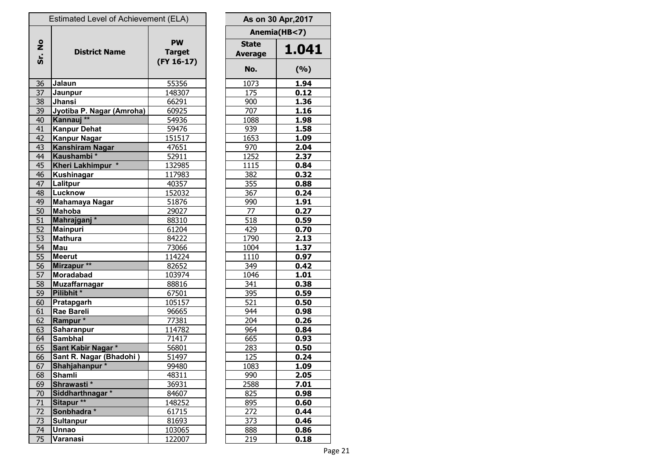|                      | Estimated Level of Achievement (ELA) |                                          |                                | As on 30 Apr, 2017 |
|----------------------|--------------------------------------|------------------------------------------|--------------------------------|--------------------|
|                      |                                      |                                          |                                | Anemia(HB<7)       |
| $\frac{1}{2}$<br>Sr. | <b>District Name</b>                 | <b>PW</b><br><b>Target</b><br>(FY 16-17) | <b>State</b><br><b>Average</b> | 1.04               |
|                      |                                      |                                          | No.                            | (9/0)              |
| 36                   | Jalaun                               | 55356                                    | 1073                           | 1.94               |
| 37                   | Jaunpur                              | 148307                                   | 175                            | 0.12               |
| 38                   | Jhansi                               | 66291                                    | 900                            | 1.36               |
| 39                   | Jyotiba P. Nagar (Amroha)            | 60925                                    | 707                            | 1.16               |
| 40                   | Kannauj **                           | 54936                                    | 1088                           | 1.98               |
| 41                   | <b>Kanpur Dehat</b>                  | 59476                                    | 939                            | 1.58               |
| 42                   | <b>Kanpur Nagar</b>                  | 151517                                   | 1653                           | 1.09               |
| 43                   | <b>Kanshiram Nagar</b>               | 47651                                    | 970                            | 2.04               |
| 44                   | Kaushambi*                           | 52911                                    | 1252                           | 2.37               |
| 45                   | Kheri Lakhimpur *                    | 132985                                   | 1115                           | 0.84               |
| 46                   | Kushinagar                           | 117983                                   | 382                            | 0.32               |
| 47                   | Lalitpur                             | 40357                                    | 355                            | 0.88               |
| 48                   | Lucknow                              | 152032                                   | 367                            | 0.24               |
| 49                   | Mahamaya Nagar                       | 51876                                    | 990                            | 1.91               |
| 50                   | <b>Mahoba</b>                        | 29027                                    | 77                             | 0.27               |
| 51                   | Mahrajganj <sup>*</sup>              | 88310                                    | 518                            | 0.59               |
| 52                   | <b>Mainpuri</b>                      | 61204                                    | 429                            | 0.70               |
| 53                   | <b>Mathura</b>                       | 84222                                    | 1790                           | 2.13               |
| 54                   | Mau                                  | 73066                                    | 1004                           | 1.37               |
| 55                   | <b>Meerut</b>                        | 114224                                   | 1110                           | 0.97               |
| 56                   | Mirzapur **                          | 82652                                    | 349                            | 0.42               |
| 57                   | Moradabad                            | 103974                                   | 1046                           | 1.01               |
| 58                   | <b>Muzaffarnagar</b>                 | 88816                                    | 341                            | 0.38               |
| 59                   | Pilibhit*                            | 67501                                    | 395                            | 0.59               |
| 60                   | Pratapgarh                           | 105157                                   | 521                            | 0.50               |
| 61                   | <b>Rae Bareli</b>                    | 96665                                    | 944                            | 0.98               |
| 62                   | Rampur <sup>*</sup>                  | 77381                                    | 204                            | 0.26               |
| 63                   | Saharanpur                           | 114782                                   | 964                            | 0.84               |
| 64                   | <b>Sambhal</b>                       | 71417                                    | 665                            | 0.93               |
| 65                   | <b>Sant Kabir Nagar*</b>             | 56801                                    | 283                            | 0.50               |
| 66                   | Sant R. Nagar (Bhadohi)              | 51497                                    | 125                            | 0.24               |
| 67                   | Shahjahanpur*                        | 99480                                    | 1083                           | 1.09               |
| 68                   | <b>Shamli</b>                        | 48311                                    | 990                            | 2.05               |
| 69                   | Shrawasti*                           | 36931                                    | 2588                           | 7.01               |
| 70                   | Siddharthnagar *                     | 84607                                    | 825                            | 0.98               |
| 71                   | Sitapur <sup>**</sup>                | 148252                                   | 895                            | 0.60               |
| 72                   | Sonbhadra*                           | 61715                                    | 272                            | 0.44               |
| $\overline{73}$      | <b>Sultanpur</b>                     | 81693                                    | 373                            | 0.46               |
| 74                   | <b>Unnao</b>                         | 103065                                   | 888                            | 0.86               |
| 75                   | Varanasi                             | 122007                                   | 219                            | 0.18               |

| As on 30 Apr, 2017             |              |  |  |  |  |  |
|--------------------------------|--------------|--|--|--|--|--|
|                                | Anemia(HB<7) |  |  |  |  |  |
| <b>State</b><br><b>Average</b> | 1.041        |  |  |  |  |  |
| No.                            | (%)          |  |  |  |  |  |
| <u> 1073</u>                   | 1.94         |  |  |  |  |  |
| 175                            | 0.12         |  |  |  |  |  |
| 900                            | 1.36         |  |  |  |  |  |
| 707                            | <u>1.16</u>  |  |  |  |  |  |
| 1088                           | 1.98         |  |  |  |  |  |
| 939                            | 1.58         |  |  |  |  |  |
| 1653                           | 1.09         |  |  |  |  |  |
| 970                            | 2.04         |  |  |  |  |  |
| 1252                           | 2.37         |  |  |  |  |  |
| 1115                           | 0.84         |  |  |  |  |  |
| 382                            | 0.32         |  |  |  |  |  |
| 355                            | 0.88         |  |  |  |  |  |
| 367                            | 0.24         |  |  |  |  |  |
| 990                            | 1.91         |  |  |  |  |  |
| 77                             | 0.27         |  |  |  |  |  |
| 518                            | 0.59         |  |  |  |  |  |
| 429                            | 0.70         |  |  |  |  |  |
| 1790                           | 2.13         |  |  |  |  |  |
| 1004                           | 1.37         |  |  |  |  |  |
| 1110                           | 0.97         |  |  |  |  |  |
| 349                            | 0.42         |  |  |  |  |  |
| 1046                           | 1.01         |  |  |  |  |  |
| 341                            | 0.38         |  |  |  |  |  |
| 395                            | 0.59         |  |  |  |  |  |
| 521                            | 0.50         |  |  |  |  |  |
| 944                            | 0.98         |  |  |  |  |  |
| 204                            | 0.26         |  |  |  |  |  |
| 964                            | 0.84         |  |  |  |  |  |
| 665                            | 0.93         |  |  |  |  |  |
| <u> 283</u>                    | <u>0.50</u>  |  |  |  |  |  |
| 125                            | 0.24         |  |  |  |  |  |
| 1083                           | <u>1.09</u>  |  |  |  |  |  |
| 990                            | 2.05         |  |  |  |  |  |
| 2588                           | <u>7.01</u>  |  |  |  |  |  |
| 825                            | 0.98         |  |  |  |  |  |
| 895                            | 0.60         |  |  |  |  |  |
| 272                            | 0.44         |  |  |  |  |  |
| 373                            | 0.46         |  |  |  |  |  |
| 888                            | 0.86         |  |  |  |  |  |
| 219                            | 0.18         |  |  |  |  |  |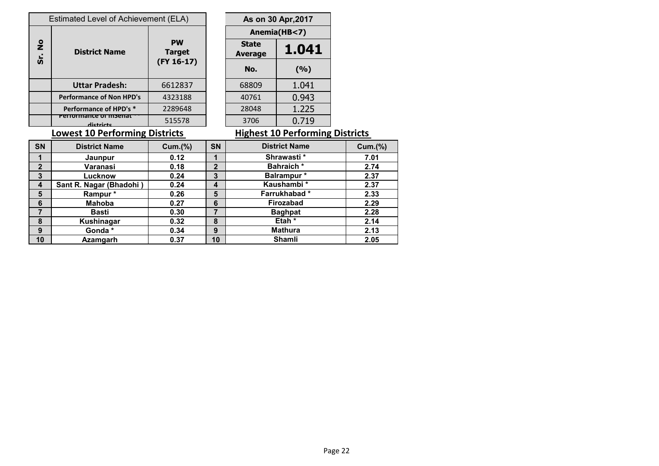|                                       | Estimated Level of Achievement (ELA) |                            |                | As on 30 Apr, 2017             |                                        |                 |
|---------------------------------------|--------------------------------------|----------------------------|----------------|--------------------------------|----------------------------------------|-----------------|
|                                       |                                      |                            |                |                                | Anemia(HB<7)                           |                 |
| $\frac{1}{2}$<br><u>ູ່</u>            | <b>District Name</b>                 | <b>PW</b><br><b>Target</b> |                | <b>State</b><br><b>Average</b> | 1.041                                  |                 |
|                                       |                                      | $(FY 16-17)$               |                | No.                            | (9/6)                                  |                 |
|                                       | <b>Uttar Pradesh:</b>                | 6612837                    |                | 68809                          | 1.041                                  |                 |
|                                       | <b>Performance of Non HPD's</b>      | 4323188                    |                | 40761                          | 0.943                                  |                 |
|                                       | Performance of HPD's *               | 2289648                    |                | 28048                          | 1.225                                  |                 |
|                                       | Performance of msenat<br>dictrictc   | 515578                     |                | 3706                           | 0.719                                  |                 |
| <b>Lowest 10 Performing Districts</b> |                                      |                            |                |                                |                                        |                 |
|                                       |                                      |                            |                |                                | <b>Highest 10 Performing Districts</b> |                 |
| <b>SN</b>                             | <b>District Name</b>                 | <b>Cum.(%)</b>             | SN             |                                | <b>District Name</b>                   |                 |
| 1                                     | Jaunpur                              | 0.12                       | 1              |                                | Shrawasti*                             | 7.01            |
| $\overline{2}$                        | Varanasi                             | 0.18                       | $\overline{2}$ |                                | <b>Bahraich*</b>                       | Cum.(%)<br>2.74 |
| $\overline{\mathbf{3}}$               | Lucknow                              | 0.24                       | 3              |                                | Balrampur*                             | 2.37            |
| $\overline{\mathbf{4}}$               | Sant R. Nagar (Bhadohi)              | 0.24                       | 4              |                                | Kaushambi*                             | 2.37            |
| 5                                     | Rampur*                              | 0.26                       | 5              |                                | Farrukhabad*                           | 2.33            |
| 6                                     | <b>Mahoba</b>                        | 0.27                       | 6              |                                | Firozabad                              | 2.29            |
| $\overline{7}$                        | <b>Basti</b>                         | 0.30                       | $\overline{7}$ |                                | <b>Baghpat</b>                         | 2.28            |
| 8                                     | Kushinagar                           | 0.32                       | 8              |                                | Etah *                                 | 2.14            |
| 9                                     | Gonda*                               | 0.34                       | 9              |                                | <b>Mathura</b>                         | 2.13            |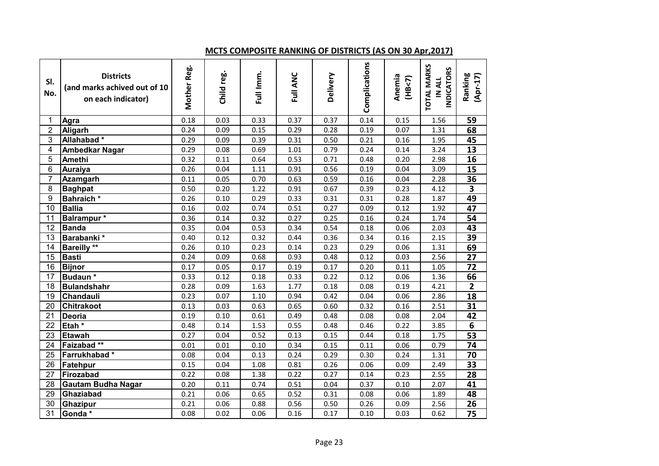## **MCTS COMPOSITE RANKING OF DISTRICTS (AS ON 30 Apr,2017)**

| SI.<br>No.              | <b>Districts</b><br>(and marks achived out of 10<br>on each indicator) | Mother Reg. | Child reg. | Full Imm. | Full ANC | Delivery | Complications | Anemia<br>(HB< 7) | <b>TOTAL MARKS</b><br><b>INDICATORS</b><br>IN ALL | Ranking<br>$(Apr-17)$ |
|-------------------------|------------------------------------------------------------------------|-------------|------------|-----------|----------|----------|---------------|-------------------|---------------------------------------------------|-----------------------|
| 1                       | Agra                                                                   | 0.18        | 0.03       | 0.33      | 0.37     | 0.37     | 0.14          | 0.15              | 1.56                                              | 59                    |
| $\overline{2}$          | <b>Aligarh</b>                                                         | 0.24        | 0.09       | 0.15      | 0.29     | 0.28     | 0.19          | 0.07              | 1.31                                              | 68                    |
| $\overline{3}$          | Allahabad <sup>*</sup>                                                 | 0.29        | 0.09       | 0.39      | 0.31     | 0.50     | 0.21          | 0.16              | 1.95                                              | 45                    |
| $\overline{\mathbf{4}}$ | Ambedkar Nagar                                                         | 0.29        | 0.08       | 0.69      | 1.01     | 0.79     | 0.24          | 0.14              | 3.24                                              | 13                    |
| 5                       | <b>Amethi</b>                                                          | 0.32        | 0.11       | 0.64      | 0.53     | 0.71     | 0.48          | 0.20              | 2.98                                              | 16                    |
| 6                       | <b>Auraiya</b>                                                         | 0.26        | 0.04       | 1.11      | 0.91     | 0.56     | 0.19          | 0.04              | 3.09                                              | 15                    |
| $\overline{7}$          | Azamgarh                                                               | 0.11        | 0.05       | 0.70      | 0.63     | 0.59     | 0.16          | 0.04              | 2.28                                              | 36                    |
| 8                       | <b>Baghpat</b>                                                         | 0.50        | 0.20       | 1.22      | 0.91     | 0.67     | 0.39          | 0.23              | 4.12                                              | 3                     |
| 9                       | Bahraich *                                                             | 0.26        | 0.10       | 0.29      | 0.33     | 0.31     | 0.31          | 0.28              | 1.87                                              | 49                    |
| 10                      | <b>Ballia</b>                                                          | 0.16        | 0.02       | 0.74      | 0.51     | 0.27     | 0.09          | 0.12              | 1.92                                              | 47                    |
| 11                      | <b>Balrampur</b> *                                                     | 0.36        | 0.14       | 0.32      | 0.27     | 0.25     | 0.16          | 0.24              | 1.74                                              | 54                    |
| 12                      | <b>Banda</b>                                                           | 0.35        | 0.04       | 0.53      | 0.34     | 0.54     | 0.18          | 0.06              | 2.03                                              | 43                    |
| 13                      | Barabanki*                                                             | 0.40        | 0.12       | 0.32      | 0.44     | 0.36     | 0.34          | 0.16              | 2.15                                              | 39                    |
| 14                      | <b>Bareilly **</b>                                                     | 0.26        | 0.10       | 0.23      | 0.14     | 0.23     | 0.29          | 0.06              | 1.31                                              | 69                    |
| 15                      | <b>Basti</b>                                                           | 0.24        | 0.09       | 0.68      | 0.93     | 0.48     | 0.12          | 0.03              | 2.56                                              | 27                    |
| 16                      | <b>Bijnor</b>                                                          | 0.17        | 0.05       | 0.17      | 0.19     | 0.17     | 0.20          | 0.11              | 1.05                                              | 72                    |
| 17                      | Budaun*                                                                | 0.33        | 0.12       | 0.18      | 0.33     | 0.22     | 0.12          | 0.06              | 1.36                                              | 66                    |
| 18                      | <b>Bulandshahr</b>                                                     | 0.28        | 0.09       | 1.63      | 1.77     | 0.18     | 0.08          | 0.19              | 4.21                                              | $\overline{2}$        |
| 19                      | Chandauli                                                              | 0.23        | 0.07       | 1.10      | 0.94     | 0.42     | 0.04          | 0.06              | 2.86                                              | $\overline{18}$       |
| 20                      | <b>Chitrakoot</b>                                                      | 0.13        | 0.03       | 0.63      | 0.65     | 0.60     | 0.32          | 0.16              | 2.51                                              | $\overline{31}$       |
| 21                      | <b>Deoria</b>                                                          | 0.19        | 0.10       | 0.61      | 0.49     | 0.48     | 0.08          | 0.08              | 2.04                                              | $\overline{42}$       |
| $\overline{22}$         | Etah <sup>*</sup>                                                      | 0.48        | 0.14       | 1.53      | 0.55     | 0.48     | 0.46          | 0.22              | 3.85                                              | $\overline{6}$        |
| 23                      | <b>Etawah</b>                                                          | 0.27        | 0.04       | 0.52      | 0.13     | 0.15     | 0.44          | 0.18              | 1.75                                              | $\overline{53}$       |
| 24                      | Faizabad**                                                             | 0.01        | 0.01       | 0.10      | 0.34     | 0.15     | 0.11          | 0.06              | 0.79                                              | 74                    |
| 25                      | Farrukhabad*                                                           | 0.08        | 0.04       | 0.13      | 0.24     | 0.29     | 0.30          | 0.24              | 1.31                                              | $\overline{70}$       |
| 26                      | Fatehpur                                                               | 0.15        | 0.04       | 1.08      | 0.81     | 0.26     | 0.06          | 0.09              | 2.49                                              | 33                    |
| 27                      | Firozabad                                                              | 0.22        | 0.08       | 1.38      | 0.22     | 0.27     | 0.14          | 0.23              | 2.55                                              | 28                    |
| $\overline{28}$         | <b>Gautam Budha Nagar</b>                                              | 0.20        | 0.11       | 0.74      | 0.51     | 0.04     | 0.37          | 0.10              | 2.07                                              | 41                    |
| $\overline{29}$         | Ghaziabad                                                              | 0.21        | 0.06       | 0.65      | 0.52     | 0.31     | 0.08          | 0.06              | 1.89                                              | 48                    |
| 30                      | <b>Ghazipur</b>                                                        | 0.21        | 0.06       | 0.88      | 0.56     | 0.50     | 0.26          | 0.09              | 2.56                                              | 26                    |
| 31                      | Gonda*                                                                 | 0.08        | 0.02       | 0.06      | 0.16     | 0.17     | 0.10          | 0.03              | 0.62                                              | 75                    |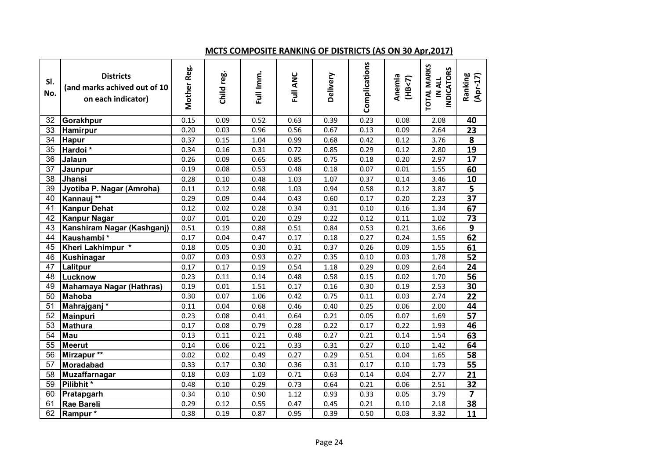## **MCTS COMPOSITE RANKING OF DISTRICTS (AS ON 30 Apr,2017)**

| SI.<br>No.      | <b>Districts</b><br>(and marks achived out of 10<br>on each indicator) | Mother Reg. | Child reg. | Full Imm. | Full ANC | Delivery | Complications | Anemia<br>(HB< 7) | <b>TOTAL MARKS</b><br><b>INDICATORS</b><br>IN ALL | Ranking<br>$(Apr-17)$   |
|-----------------|------------------------------------------------------------------------|-------------|------------|-----------|----------|----------|---------------|-------------------|---------------------------------------------------|-------------------------|
| 32              | Gorakhpur                                                              | 0.15        | 0.09       | 0.52      | 0.63     | 0.39     | 0.23          | 0.08              | 2.08                                              | 40                      |
| 33              | <b>Hamirpur</b>                                                        | 0.20        | 0.03       | 0.96      | 0.56     | 0.67     | 0.13          | 0.09              | 2.64                                              | 23                      |
| 34              | <b>Hapur</b>                                                           | 0.37        | 0.15       | 1.04      | 0.99     | 0.68     | 0.42          | 0.12              | 3.76                                              | $\overline{\mathbf{8}}$ |
| 35              | Hardoi <sup>*</sup>                                                    | 0.34        | 0.16       | 0.31      | 0.72     | 0.85     | 0.29          | 0.12              | 2.80                                              | $\overline{19}$         |
| $\overline{36}$ | Jalaun                                                                 | 0.26        | 0.09       | 0.65      | 0.85     | 0.75     | 0.18          | 0.20              | 2.97                                              | $\overline{17}$         |
| 37              | Jaunpur                                                                | 0.19        | 0.08       | 0.53      | 0.48     | 0.18     | 0.07          | 0.01              | 1.55                                              | 60                      |
| 38              | Jhansi                                                                 | 0.28        | 0.10       | 0.48      | 1.03     | 1.07     | 0.37          | 0.14              | 3.46                                              | 10                      |
| $\overline{39}$ | Jyotiba P. Nagar (Amroha)                                              | 0.11        | 0.12       | 0.98      | 1.03     | 0.94     | 0.58          | 0.12              | 3.87                                              | $\overline{5}$          |
| 40              | Kannauj <sup>**</sup>                                                  | 0.29        | 0.09       | 0.44      | 0.43     | 0.60     | 0.17          | 0.20              | 2.23                                              | $\overline{37}$         |
| 41              | <b>Kanpur Dehat</b>                                                    | 0.12        | 0.02       | 0.28      | 0.34     | 0.31     | 0.10          | 0.16              | 1.34                                              | 67                      |
| 42              | <b>Kanpur Nagar</b>                                                    | 0.07        | 0.01       | 0.20      | 0.29     | 0.22     | 0.12          | 0.11              | 1.02                                              | 73                      |
| 43              | Kanshiram Nagar (Kashganj)                                             | 0.51        | 0.19       | 0.88      | 0.51     | 0.84     | 0.53          | 0.21              | 3.66                                              | 9                       |
| 44              | Kaushambi*                                                             | 0.17        | 0.04       | 0.47      | 0.17     | 0.18     | 0.27          | 0.24              | 1.55                                              | 62                      |
| 45              | Kheri Lakhimpur *                                                      | 0.18        | 0.05       | 0.30      | 0.31     | 0.37     | 0.26          | 0.09              | 1.55                                              | 61                      |
| 46              | <b>Kushinagar</b>                                                      | 0.07        | 0.03       | 0.93      | 0.27     | 0.35     | 0.10          | 0.03              | 1.78                                              | 52                      |
| 47              | Lalitpur                                                               | 0.17        | 0.17       | 0.19      | 0.54     | 1.18     | 0.29          | 0.09              | 2.64                                              | 24                      |
| 48              | Lucknow                                                                | 0.23        | 0.11       | 0.14      | 0.48     | 0.58     | 0.15          | 0.02              | 1.70                                              | 56                      |
| 49              | <b>Mahamaya Nagar (Hathras)</b>                                        | 0.19        | 0.01       | 1.51      | 0.17     | 0.16     | 0.30          | 0.19              | 2.53                                              | 30                      |
| 50              | <b>Mahoba</b>                                                          | 0.30        | 0.07       | 1.06      | 0.42     | 0.75     | 0.11          | 0.03              | 2.74                                              | 22                      |
| 51              | Mahrajganj*                                                            | 0.11        | 0.04       | 0.68      | 0.46     | 0.40     | 0.25          | 0.06              | 2.00                                              | 44                      |
| $\overline{52}$ | <b>Mainpuri</b>                                                        | 0.23        | 0.08       | 0.41      | 0.64     | 0.21     | 0.05          | 0.07              | 1.69                                              | $\overline{57}$         |
| $\overline{53}$ | <b>Mathura</b>                                                         | 0.17        | 0.08       | 0.79      | 0.28     | 0.22     | 0.17          | 0.22              | 1.93                                              | 46                      |
| 54              | Mau                                                                    | 0.13        | 0.11       | 0.21      | 0.48     | 0.27     | 0.21          | 0.14              | 1.54                                              | 63                      |
| 55              | Meerut                                                                 | 0.14        | 0.06       | 0.21      | 0.33     | 0.31     | 0.27          | 0.10              | 1.42                                              | 64                      |
| 56              | Mirzapur <sup>**</sup>                                                 | 0.02        | 0.02       | 0.49      | 0.27     | 0.29     | 0.51          | 0.04              | 1.65                                              | 58                      |
| 57              | <b>Moradabad</b>                                                       | 0.33        | 0.17       | 0.30      | 0.36     | 0.31     | 0.17          | 0.10              | 1.73                                              | 55                      |
| 58              | <b>Muzaffarnagar</b>                                                   | 0.18        | 0.03       | 1.03      | 0.71     | 0.63     | 0.14          | 0.04              | 2.77                                              | $\overline{21}$         |
| 59              | Pilibhit*                                                              | 0.48        | 0.10       | 0.29      | 0.73     | 0.64     | 0.21          | 0.06              | 2.51                                              | 32                      |
| 60              | Pratapgarh                                                             | 0.34        | 0.10       | 0.90      | 1.12     | 0.93     | 0.33          | 0.05              | 3.79                                              |                         |
| 61              | <b>Rae Bareli</b>                                                      | 0.29        | 0.12       | 0.55      | 0.47     | 0.45     | 0.21          | 0.10              | 2.18                                              | 38                      |
| 62              | Rampur*                                                                | 0.38        | 0.19       | 0.87      | 0.95     | 0.39     | 0.50          | 0.03              | 3.32                                              | 11                      |